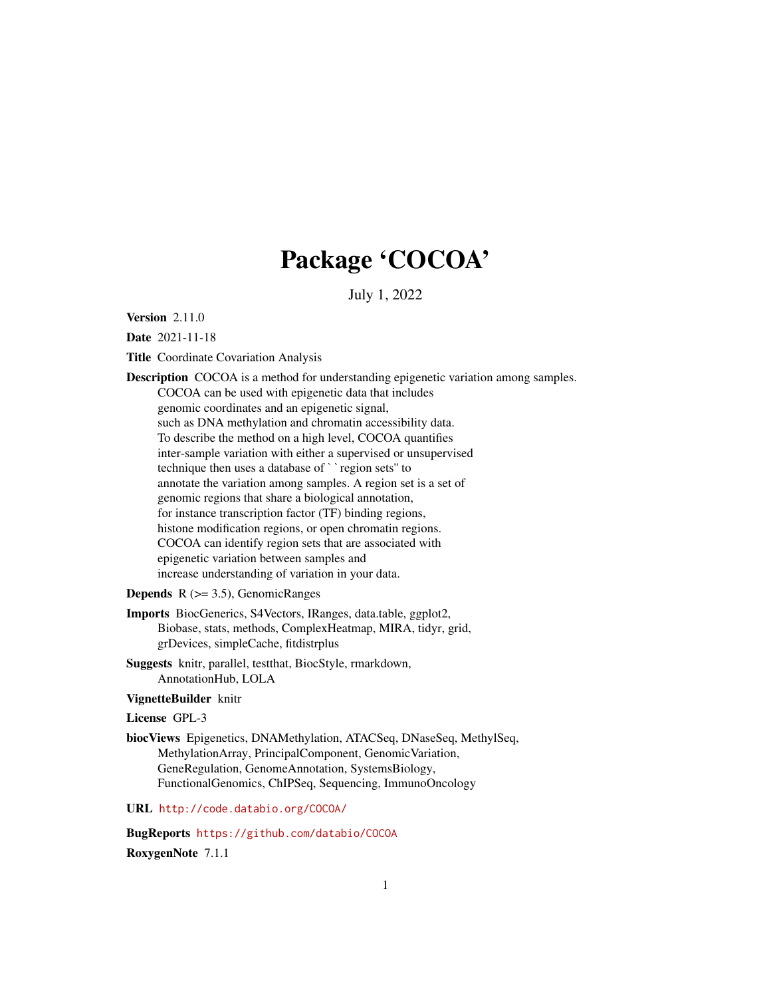# Package 'COCOA'

July 1, 2022

**Version 2.11.0** 

Date 2021-11-18

Title Coordinate Covariation Analysis

Description COCOA is a method for understanding epigenetic variation among samples. COCOA can be used with epigenetic data that includes genomic coordinates and an epigenetic signal, such as DNA methylation and chromatin accessibility data. To describe the method on a high level, COCOA quantifies inter-sample variation with either a supervised or unsupervised Such as DivA memyiation and chromain accession<br>To describe the method on a high level, COCOA q<br>inter-sample variation with either a supervised or u<br>technique then uses a database of ``region sets" to annotate the variation among samples. A region set is a set of genomic regions that share a biological annotation, for instance transcription factor (TF) binding regions, histone modification regions, or open chromatin regions. COCOA can identify region sets that are associated with epigenetic variation between samples and increase understanding of variation in your data. **Depends**  $R$  ( $>= 3.5$ ), GenomicRanges

Imports BiocGenerics, S4Vectors, IRanges, data.table, ggplot2, Biobase, stats, methods, ComplexHeatmap, MIRA, tidyr, grid, grDevices, simpleCache, fitdistrplus

Suggests knitr, parallel, testthat, BiocStyle, rmarkdown, AnnotationHub, LOLA

#### VignetteBuilder knitr

License GPL-3

biocViews Epigenetics, DNAMethylation, ATACSeq, DNaseSeq, MethylSeq, MethylationArray, PrincipalComponent, GenomicVariation, GeneRegulation, GenomeAnnotation, SystemsBiology, FunctionalGenomics, ChIPSeq, Sequencing, ImmunoOncology

URL <http://code.databio.org/COCOA/>

BugReports <https://github.com/databio/COCOA> RoxygenNote 7.1.1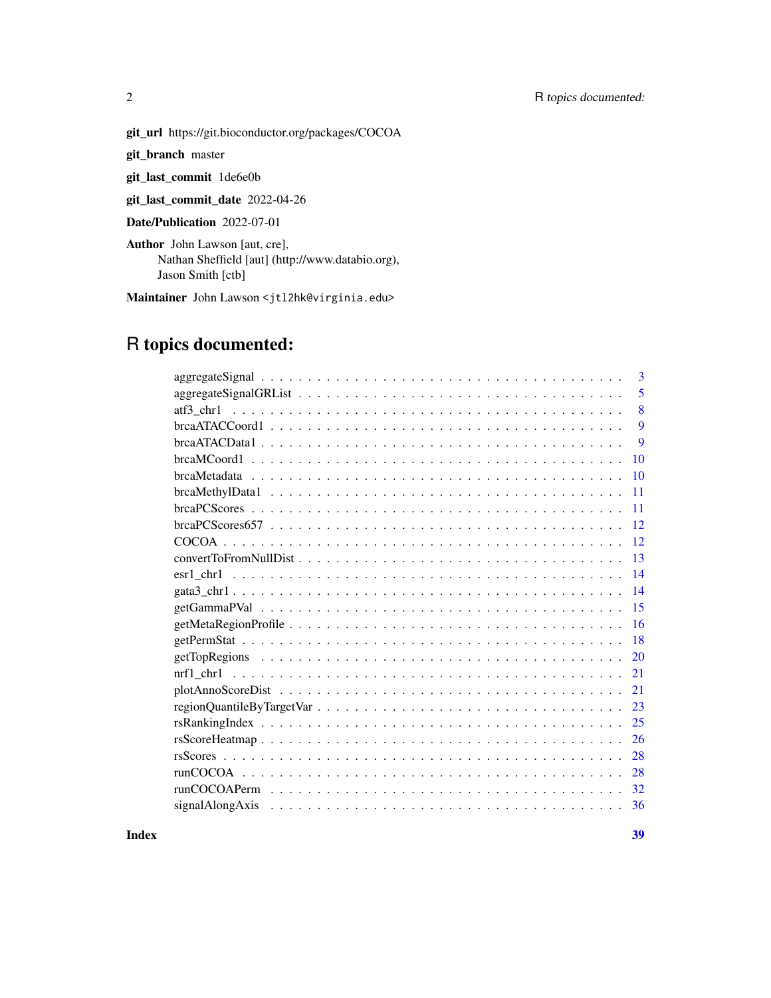#### 2 R topics documented:

git\_url https://git.bioconductor.org/packages/COCOA

git\_branch master

git\_last\_commit 1de6e0b

git\_last\_commit\_date 2022-04-26

Date/Publication 2022-07-01

Author John Lawson [aut, cre], Nathan Sheffield [aut] (http://www.databio.org), Jason Smith [ctb]

Maintainer John Lawson <jtl2hk@virginia.edu>

## R topics documented:

| 3                                                                                                                                                                                                                                    |
|--------------------------------------------------------------------------------------------------------------------------------------------------------------------------------------------------------------------------------------|
| 5                                                                                                                                                                                                                                    |
| 8                                                                                                                                                                                                                                    |
| 9                                                                                                                                                                                                                                    |
| 9                                                                                                                                                                                                                                    |
| 10                                                                                                                                                                                                                                   |
| $brcaMetada$ $\ldots$ $\ldots$ $\ldots$ $\ldots$ $\ldots$ $\ldots$ $\ldots$ $\ldots$ $\ldots$ $\ldots$ $\ldots$ $\ldots$ $\ldots$ $\ldots$<br>10                                                                                     |
| 11                                                                                                                                                                                                                                   |
| 11                                                                                                                                                                                                                                   |
| 12                                                                                                                                                                                                                                   |
| 12                                                                                                                                                                                                                                   |
| 13                                                                                                                                                                                                                                   |
| 14                                                                                                                                                                                                                                   |
| 14                                                                                                                                                                                                                                   |
| 15                                                                                                                                                                                                                                   |
| 16                                                                                                                                                                                                                                   |
| 18                                                                                                                                                                                                                                   |
| 20                                                                                                                                                                                                                                   |
| 21                                                                                                                                                                                                                                   |
| 21                                                                                                                                                                                                                                   |
| 23                                                                                                                                                                                                                                   |
| 25                                                                                                                                                                                                                                   |
| 26                                                                                                                                                                                                                                   |
| 28                                                                                                                                                                                                                                   |
| 28                                                                                                                                                                                                                                   |
| 32                                                                                                                                                                                                                                   |
| signal Along Axis responses to the contract of the contract of the contract of the contract of the contract of the contract of the contract of the contract of the contract of the contract of the contract of the contract of<br>36 |
|                                                                                                                                                                                                                                      |

**Index** [39](#page-38-0)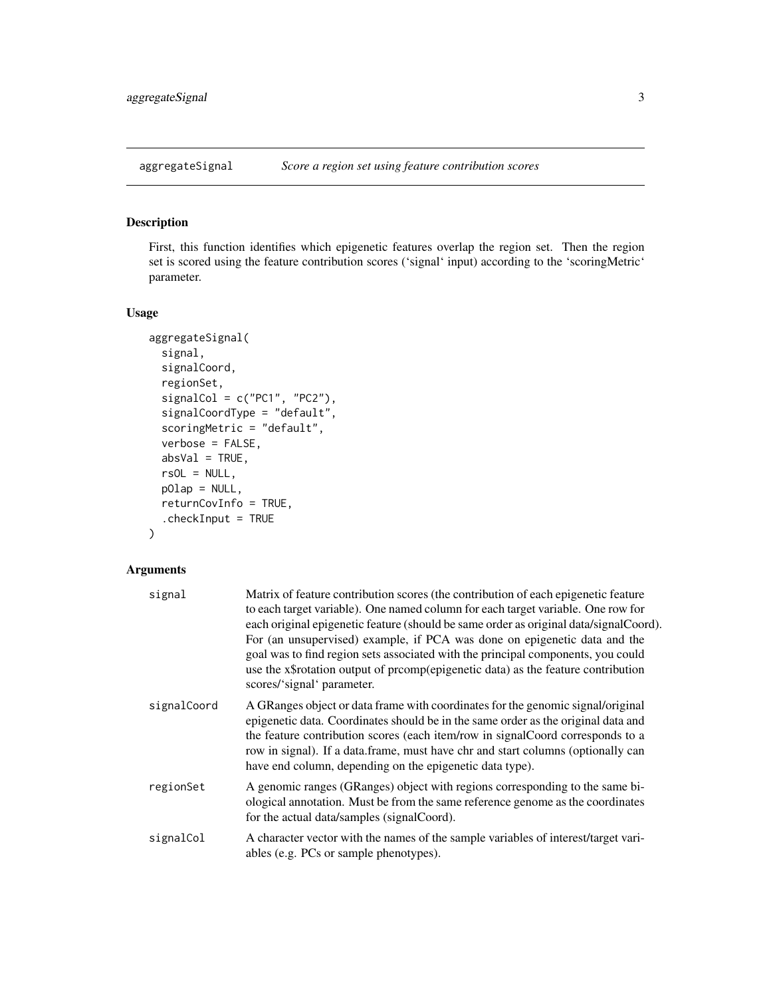<span id="page-2-0"></span>

#### Description

First, this function identifies which epigenetic features overlap the region set. Then the region set is scored using the feature contribution scores ('signal' input) according to the 'scoringMetric' parameter.

#### Usage

```
aggregateSignal(
  signal,
  signalCoord,
 regionSet,
  signalCol = c("PC1", "PC2"),
  signalCoordType = "default",
  scoringMetric = "default",
 verbose = FALSE,
  absVal = TRUE,rsOL = NULL,pOlap = NULL,returnCovInfo = TRUE,
  .checkInput = TRUE
)
```

| signal      | Matrix of feature contribution scores (the contribution of each epigenetic feature<br>to each target variable). One named column for each target variable. One row for<br>each original epigenetic feature (should be same order as original data/signalCoord).<br>For (an unsupervised) example, if PCA was done on epigenetic data and the<br>goal was to find region sets associated with the principal components, you could<br>use the x\$rotation output of promp(epigenetic data) as the feature contribution<br>scores/'signal' parameter. |
|-------------|----------------------------------------------------------------------------------------------------------------------------------------------------------------------------------------------------------------------------------------------------------------------------------------------------------------------------------------------------------------------------------------------------------------------------------------------------------------------------------------------------------------------------------------------------|
| signalCoord | A GRanges object or data frame with coordinates for the genomic signal/original<br>epigenetic data. Coordinates should be in the same order as the original data and<br>the feature contribution scores (each item/row in signalCoord corresponds to a<br>row in signal). If a data frame, must have chr and start columns (optionally can<br>have end column, depending on the epigenetic data type).                                                                                                                                             |
| regionSet   | A genomic ranges (GRanges) object with regions corresponding to the same bi-<br>ological annotation. Must be from the same reference genome as the coordinates<br>for the actual data/samples (signalCoord).                                                                                                                                                                                                                                                                                                                                       |
| signalCol   | A character vector with the names of the sample variables of interest/target vari-<br>ables (e.g. PCs or sample phenotypes).                                                                                                                                                                                                                                                                                                                                                                                                                       |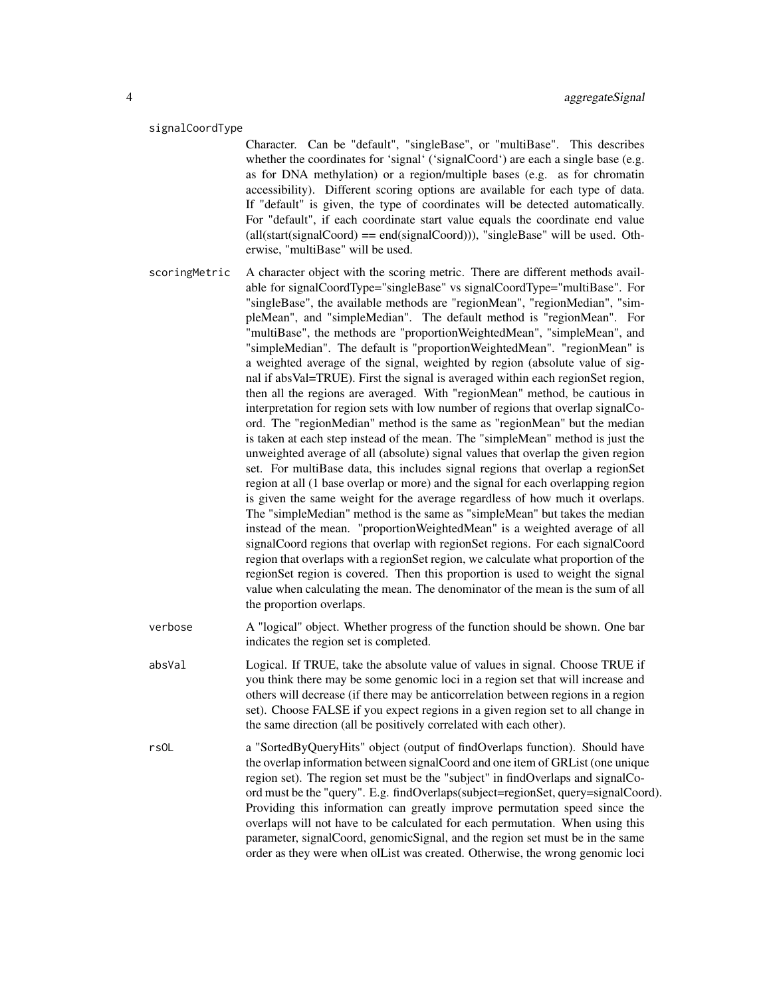#### signalCoordType

Character. Can be "default", "singleBase", or "multiBase". This describes whether the coordinates for 'signal' ('signalCoord') are each a single base (e.g. as for DNA methylation) or a region/multiple bases (e.g. as for chromatin accessibility). Different scoring options are available for each type of data. If "default" is given, the type of coordinates will be detected automatically. For "default", if each coordinate start value equals the coordinate end value  $all(stat(signalCoord) == end(signalCoord)))$ , "singleBase" will be used. Otherwise, "multiBase" will be used.

- scoringMetric A character object with the scoring metric. There are different methods available for signalCoordType="singleBase" vs signalCoordType="multiBase". For "singleBase", the available methods are "regionMean", "regionMedian", "simpleMean", and "simpleMedian". The default method is "regionMean". For "multiBase", the methods are "proportionWeightedMean", "simpleMean", and "simpleMedian". The default is "proportionWeightedMean". "regionMean" is a weighted average of the signal, weighted by region (absolute value of signal if absVal=TRUE). First the signal is averaged within each regionSet region, then all the regions are averaged. With "regionMean" method, be cautious in interpretation for region sets with low number of regions that overlap signalCoord. The "regionMedian" method is the same as "regionMean" but the median is taken at each step instead of the mean. The "simpleMean" method is just the unweighted average of all (absolute) signal values that overlap the given region set. For multiBase data, this includes signal regions that overlap a regionSet region at all (1 base overlap or more) and the signal for each overlapping region is given the same weight for the average regardless of how much it overlaps. The "simpleMedian" method is the same as "simpleMean" but takes the median instead of the mean. "proportionWeightedMean" is a weighted average of all signalCoord regions that overlap with regionSet regions. For each signalCoord region that overlaps with a regionSet region, we calculate what proportion of the regionSet region is covered. Then this proportion is used to weight the signal value when calculating the mean. The denominator of the mean is the sum of all the proportion overlaps.
- verbose A "logical" object. Whether progress of the function should be shown. One bar indicates the region set is completed.
- absVal Logical. If TRUE, take the absolute value of values in signal. Choose TRUE if you think there may be some genomic loci in a region set that will increase and others will decrease (if there may be anticorrelation between regions in a region set). Choose FALSE if you expect regions in a given region set to all change in the same direction (all be positively correlated with each other).
- rsOL a "SortedByQueryHits" object (output of findOverlaps function). Should have the overlap information between signalCoord and one item of GRList (one unique region set). The region set must be the "subject" in findOverlaps and signalCoord must be the "query". E.g. findOverlaps(subject=regionSet, query=signalCoord). Providing this information can greatly improve permutation speed since the overlaps will not have to be calculated for each permutation. When using this parameter, signalCoord, genomicSignal, and the region set must be in the same order as they were when olList was created. Otherwise, the wrong genomic loci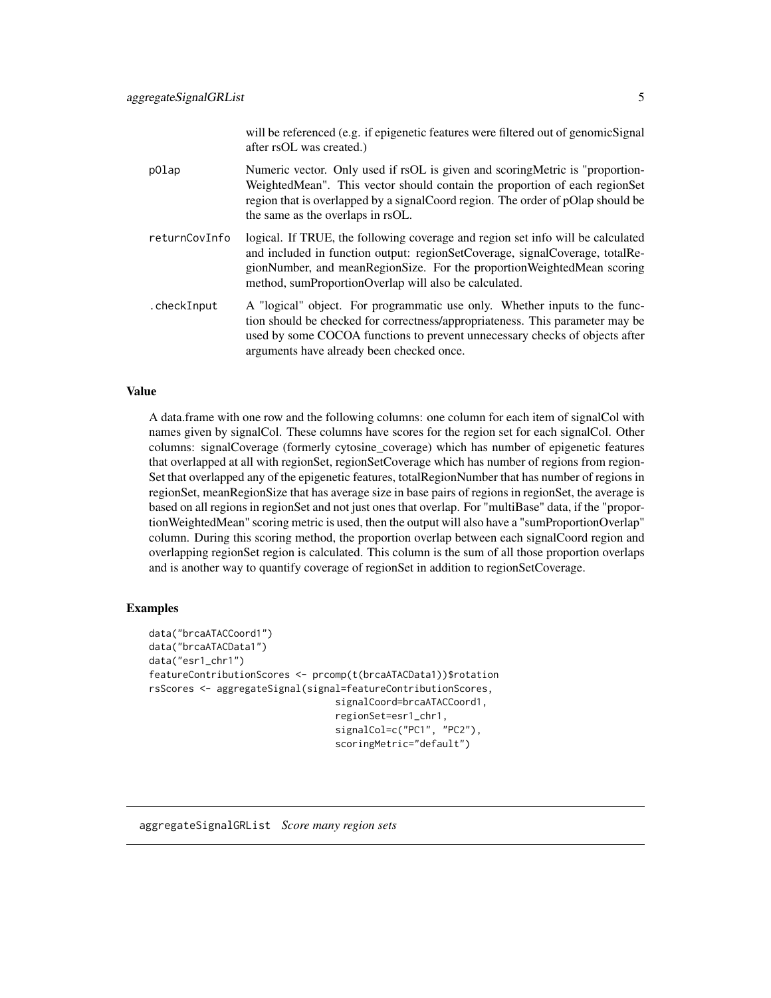will be referenced (e.g. if epigenetic features were filtered out of genomicSignal after rsOL was created.)

- <span id="page-4-0"></span>pOlap Numeric vector. Only used if rsOL is given and scoringMetric is "proportion-WeightedMean". This vector should contain the proportion of each regionSet region that is overlapped by a signalCoord region. The order of pOlap should be the same as the overlaps in rsOL.
- returnCovInfo logical. If TRUE, the following coverage and region set info will be calculated and included in function output: regionSetCoverage, signalCoverage, totalRegionNumber, and meanRegionSize. For the proportionWeightedMean scoring method, sumProportionOverlap will also be calculated.
- .checkInput A "logical" object. For programmatic use only. Whether inputs to the function should be checked for correctness/appropriateness. This parameter may be used by some COCOA functions to prevent unnecessary checks of objects after arguments have already been checked once.

#### Value

A data.frame with one row and the following columns: one column for each item of signalCol with names given by signalCol. These columns have scores for the region set for each signalCol. Other columns: signalCoverage (formerly cytosine\_coverage) which has number of epigenetic features that overlapped at all with regionSet, regionSetCoverage which has number of regions from region-Set that overlapped any of the epigenetic features, totalRegionNumber that has number of regions in regionSet, meanRegionSize that has average size in base pairs of regions in regionSet, the average is based on all regions in regionSet and not just ones that overlap. For "multiBase" data, if the "proportionWeightedMean" scoring metric is used, then the output will also have a "sumProportionOverlap" column. During this scoring method, the proportion overlap between each signalCoord region and overlapping regionSet region is calculated. This column is the sum of all those proportion overlaps and is another way to quantify coverage of regionSet in addition to regionSetCoverage.

#### Examples

```
data("brcaATACCoord1")
data("brcaATACData1")
data("esr1_chr1")
featureContributionScores <- prcomp(t(brcaATACData1))$rotation
rsScores <- aggregateSignal(signal=featureContributionScores,
                                 signalCoord=brcaATACCoord1,
                                 regionSet=esr1_chr1,
                                 signalCol=c("PC1", "PC2"),
                                 scoringMetric="default")
```
aggregateSignalGRList *Score many region sets*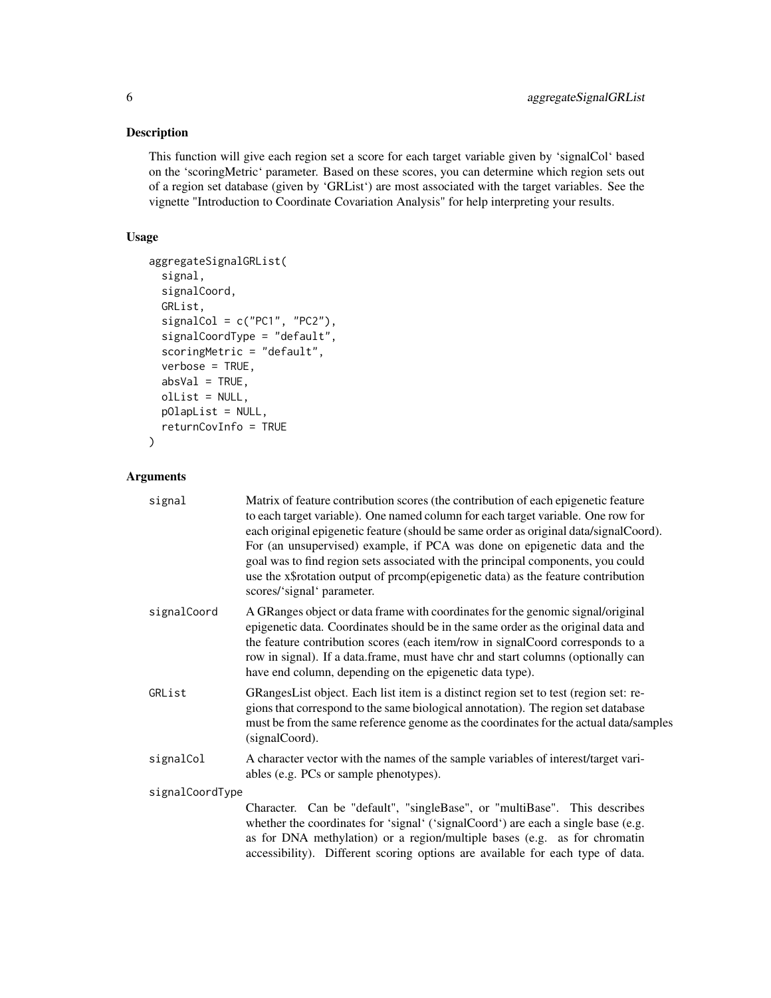#### Description

This function will give each region set a score for each target variable given by 'signalCol' based on the 'scoringMetric' parameter. Based on these scores, you can determine which region sets out of a region set database (given by 'GRList') are most associated with the target variables. See the vignette "Introduction to Coordinate Covariation Analysis" for help interpreting your results.

#### Usage

```
aggregateSignalGRList(
  signal,
  signalCoord,
 GRList,
  signalCol = c("PC1", "PC2"),
  signalCoordType = "default",
  scoringMetric = "default",
  verbose = TRUE,
 absVal = TRUE,olList = NULL,
 pOlapList = NULL,
  returnCovInfo = TRUE
)
```

| signal          | Matrix of feature contribution scores (the contribution of each epigenetic feature<br>to each target variable). One named column for each target variable. One row for<br>each original epigenetic feature (should be same order as original data/signalCoord).<br>For (an unsupervised) example, if PCA was done on epigenetic data and the<br>goal was to find region sets associated with the principal components, you could<br>use the x\$rotation output of prcomp(epigenetic data) as the feature contribution<br>scores/'signal' parameter. |  |
|-----------------|-----------------------------------------------------------------------------------------------------------------------------------------------------------------------------------------------------------------------------------------------------------------------------------------------------------------------------------------------------------------------------------------------------------------------------------------------------------------------------------------------------------------------------------------------------|--|
| signalCoord     | A GRanges object or data frame with coordinates for the genomic signal/original<br>epigenetic data. Coordinates should be in the same order as the original data and<br>the feature contribution scores (each item/row in signalCoord corresponds to a<br>row in signal). If a data.frame, must have chr and start columns (optionally can<br>have end column, depending on the epigenetic data type).                                                                                                                                              |  |
| GRList          | GRangesList object. Each list item is a distinct region set to test (region set: re-<br>gions that correspond to the same biological annotation). The region set database<br>must be from the same reference genome as the coordinates for the actual data/samples<br>(signalCoord).                                                                                                                                                                                                                                                                |  |
| signalCol       | A character vector with the names of the sample variables of interest/target vari-<br>ables (e.g. PCs or sample phenotypes).                                                                                                                                                                                                                                                                                                                                                                                                                        |  |
| signalCoordType |                                                                                                                                                                                                                                                                                                                                                                                                                                                                                                                                                     |  |
|                 | Character. Can be "default", "singleBase", or "multiBase". This describes<br>whether the coordinates for 'signal' ('signalCoord') are each a single base (e.g.<br>as for DNA methylation) or a region/multiple bases (e.g. as for chromatin<br>accessibility). Different scoring options are available for each type of data.                                                                                                                                                                                                                       |  |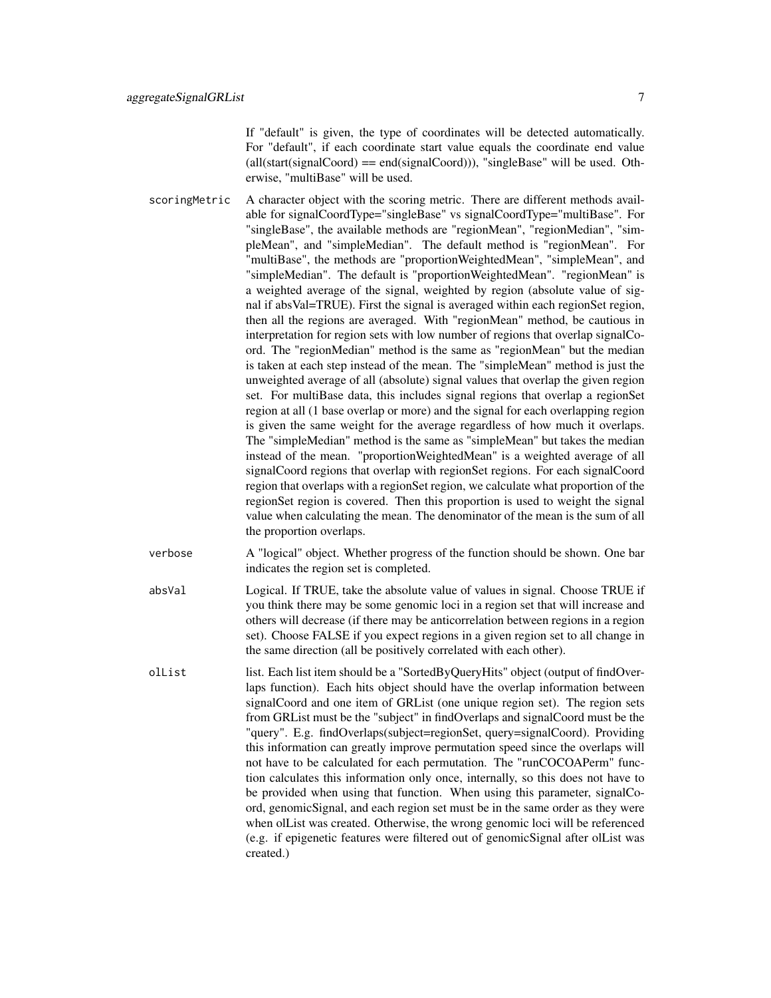If "default" is given, the type of coordinates will be detected automatically. For "default", if each coordinate start value equals the coordinate end value  $all(stat(signalCoord) == end(signalCoord))$ , "singleBase" will be used. Otherwise, "multiBase" will be used.

- scoringMetric A character object with the scoring metric. There are different methods available for signalCoordType="singleBase" vs signalCoordType="multiBase". For "singleBase", the available methods are "regionMean", "regionMedian", "simpleMean", and "simpleMedian". The default method is "regionMean". For "multiBase", the methods are "proportionWeightedMean", "simpleMean", and "simpleMedian". The default is "proportionWeightedMean". "regionMean" is a weighted average of the signal, weighted by region (absolute value of signal if absVal=TRUE). First the signal is averaged within each regionSet region, then all the regions are averaged. With "regionMean" method, be cautious in interpretation for region sets with low number of regions that overlap signalCoord. The "regionMedian" method is the same as "regionMean" but the median is taken at each step instead of the mean. The "simpleMean" method is just the unweighted average of all (absolute) signal values that overlap the given region set. For multiBase data, this includes signal regions that overlap a regionSet region at all (1 base overlap or more) and the signal for each overlapping region is given the same weight for the average regardless of how much it overlaps. The "simpleMedian" method is the same as "simpleMean" but takes the median instead of the mean. "proportionWeightedMean" is a weighted average of all signalCoord regions that overlap with regionSet regions. For each signalCoord region that overlaps with a regionSet region, we calculate what proportion of the regionSet region is covered. Then this proportion is used to weight the signal value when calculating the mean. The denominator of the mean is the sum of all the proportion overlaps.
- verbose A "logical" object. Whether progress of the function should be shown. One bar indicates the region set is completed.
- absVal Logical. If TRUE, take the absolute value of values in signal. Choose TRUE if you think there may be some genomic loci in a region set that will increase and others will decrease (if there may be anticorrelation between regions in a region set). Choose FALSE if you expect regions in a given region set to all change in the same direction (all be positively correlated with each other).
- olList list. Each list item should be a "SortedByQueryHits" object (output of findOverlaps function). Each hits object should have the overlap information between signalCoord and one item of GRList (one unique region set). The region sets from GRList must be the "subject" in findOverlaps and signalCoord must be the "query". E.g. findOverlaps(subject=regionSet, query=signalCoord). Providing this information can greatly improve permutation speed since the overlaps will not have to be calculated for each permutation. The "runCOCOAPerm" function calculates this information only once, internally, so this does not have to be provided when using that function. When using this parameter, signalCoord, genomicSignal, and each region set must be in the same order as they were when olList was created. Otherwise, the wrong genomic loci will be referenced (e.g. if epigenetic features were filtered out of genomicSignal after olList was created.)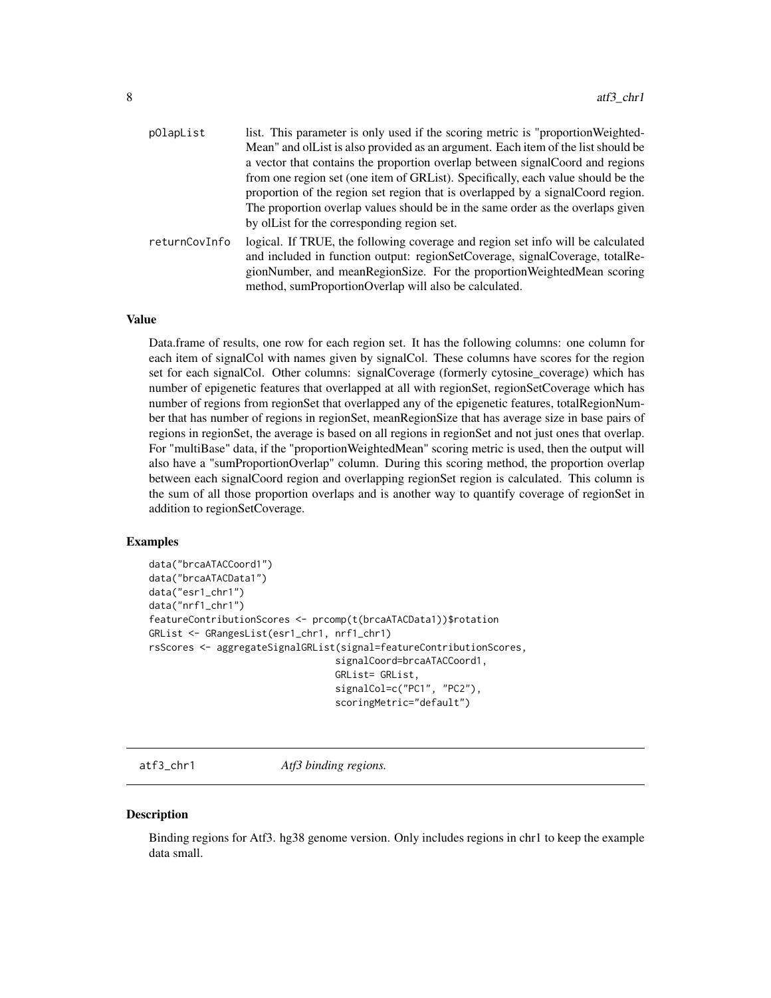<span id="page-7-0"></span>

| pOlapList     | list. This parameter is only used if the scoring metric is "proportion Weighted-  |
|---------------|-----------------------------------------------------------------------------------|
|               | Mean" and olList is also provided as an argument. Each item of the list should be |
|               | a vector that contains the proportion overlap between signal Coord and regions    |
|               | from one region set (one item of GRList). Specifically, each value should be the  |
|               | proportion of the region set region that is overlapped by a signalCoord region.   |
|               | The proportion overlap values should be in the same order as the overlaps given   |
|               | by ollet for the corresponding region set.                                        |
| returnCovInfo | logical. If TRUE, the following coverage and region set info will be calculated   |
|               | and included in function output: regionSetCoverage, signalCoverage, totalRe-      |
|               | gionNumber, and meanRegionSize. For the proportionWeightedMean scoring            |
|               | method, sumProportionOverlap will also be calculated.                             |

#### Value

Data.frame of results, one row for each region set. It has the following columns: one column for each item of signalCol with names given by signalCol. These columns have scores for the region set for each signalCol. Other columns: signalCoverage (formerly cytosine\_coverage) which has number of epigenetic features that overlapped at all with regionSet, regionSetCoverage which has number of regions from regionSet that overlapped any of the epigenetic features, totalRegionNumber that has number of regions in regionSet, meanRegionSize that has average size in base pairs of regions in regionSet, the average is based on all regions in regionSet and not just ones that overlap. For "multiBase" data, if the "proportionWeightedMean" scoring metric is used, then the output will also have a "sumProportionOverlap" column. During this scoring method, the proportion overlap between each signalCoord region and overlapping regionSet region is calculated. This column is the sum of all those proportion overlaps and is another way to quantify coverage of regionSet in addition to regionSetCoverage.

#### Examples

```
data("brcaATACCoord1")
data("brcaATACData1")
data("esr1_chr1")
data("nrf1_chr1")
featureContributionScores <- prcomp(t(brcaATACData1))$rotation
GRList <- GRangesList(esr1_chr1, nrf1_chr1)
rsScores <- aggregateSignalGRList(signal=featureContributionScores,
                                 signalCoord=brcaATACCoord1,
                                 GRList= GRList,
                                 signalCol=c("PC1", "PC2"),
                                 scoringMetric="default")
```
atf3\_chr1 *Atf3 binding regions.*

#### **Description**

Binding regions for Atf3. hg38 genome version. Only includes regions in chr1 to keep the example data small.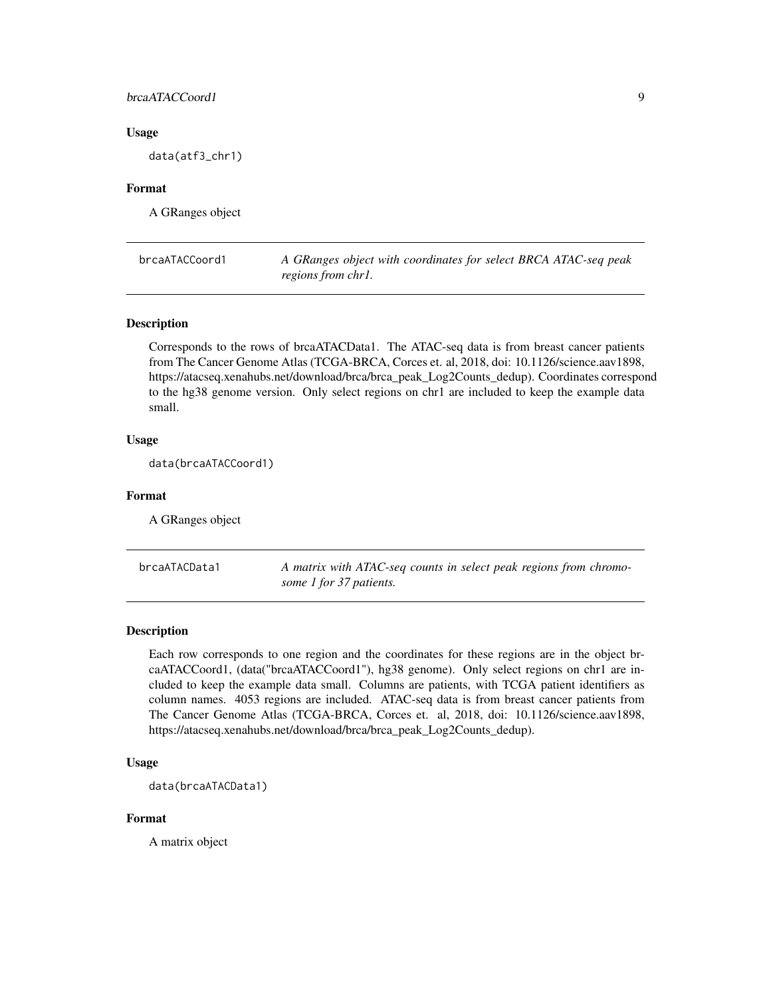#### <span id="page-8-0"></span>brcaATACCoord1 9

#### Usage

data(atf3\_chr1)

#### Format

A GRanges object

brcaATACCoord1 *A GRanges object with coordinates for select BRCA ATAC-seq peak regions from chr1.*

#### Description

Corresponds to the rows of brcaATACData1. The ATAC-seq data is from breast cancer patients from The Cancer Genome Atlas (TCGA-BRCA, Corces et. al, 2018, doi: 10.1126/science.aav1898, https://atacseq.xenahubs.net/download/brca/brca\_peak\_Log2Counts\_dedup). Coordinates correspond to the hg38 genome version. Only select regions on chr1 are included to keep the example data small.

#### Usage

data(brcaATACCoord1)

#### Format

A GRanges object

brcaATACData1 *A matrix with ATAC-seq counts in select peak regions from chromosome 1 for 37 patients.*

#### Description

Each row corresponds to one region and the coordinates for these regions are in the object brcaATACCoord1, (data("brcaATACCoord1"), hg38 genome). Only select regions on chr1 are included to keep the example data small. Columns are patients, with TCGA patient identifiers as column names. 4053 regions are included. ATAC-seq data is from breast cancer patients from The Cancer Genome Atlas (TCGA-BRCA, Corces et. al, 2018, doi: 10.1126/science.aav1898, https://atacseq.xenahubs.net/download/brca/brca\_peak\_Log2Counts\_dedup).

#### Usage

```
data(brcaATACData1)
```
#### Format

A matrix object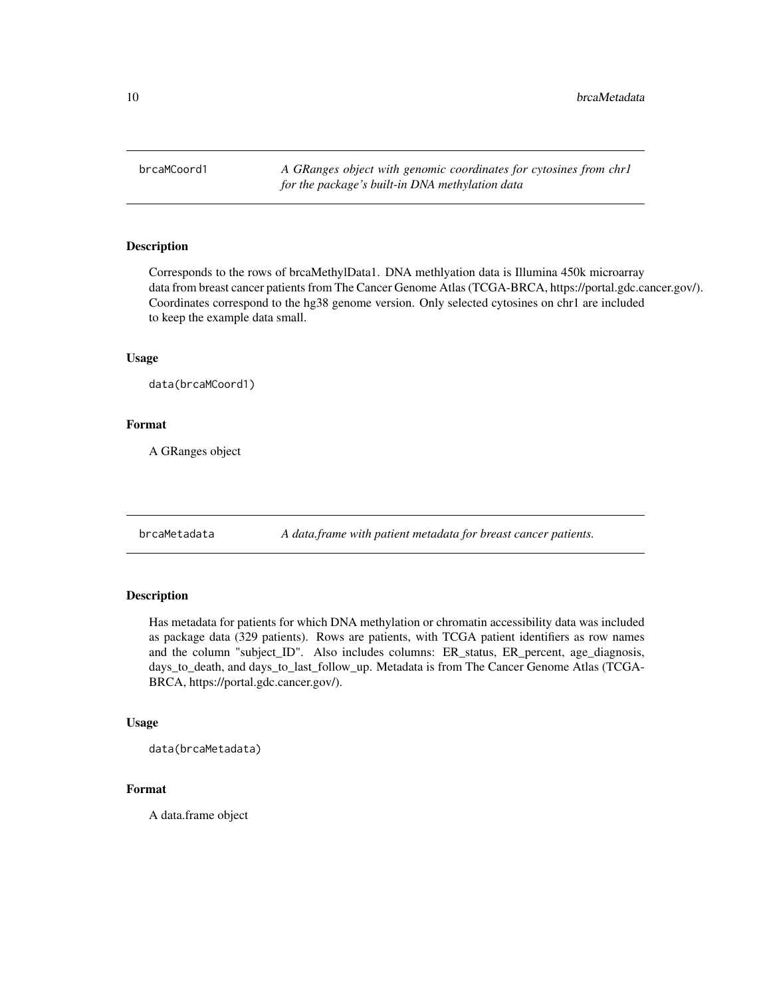<span id="page-9-0"></span>brcaMCoord1 *A GRanges object with genomic coordinates for cytosines from chr1 for the package's built-in DNA methylation data*

#### Description

Corresponds to the rows of brcaMethylData1. DNA methlyation data is Illumina 450k microarray data from breast cancer patients from The Cancer Genome Atlas (TCGA-BRCA, https://portal.gdc.cancer.gov/). Coordinates correspond to the hg38 genome version. Only selected cytosines on chr1 are included to keep the example data small.

#### Usage

data(brcaMCoord1)

#### Format

A GRanges object

brcaMetadata *A data.frame with patient metadata for breast cancer patients.*

#### Description

Has metadata for patients for which DNA methylation or chromatin accessibility data was included as package data (329 patients). Rows are patients, with TCGA patient identifiers as row names and the column "subject\_ID". Also includes columns: ER\_status, ER\_percent, age\_diagnosis, days\_to\_death, and days\_to\_last\_follow\_up. Metadata is from The Cancer Genome Atlas (TCGA-BRCA, https://portal.gdc.cancer.gov/).

#### Usage

data(brcaMetadata)

#### Format

A data.frame object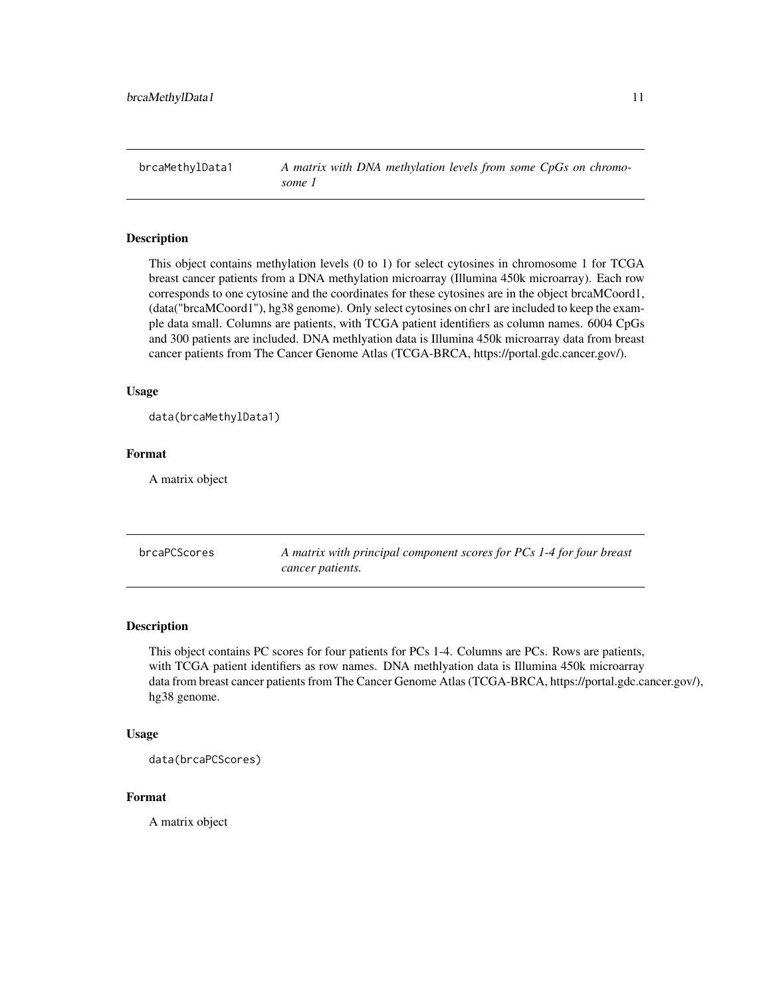<span id="page-10-0"></span>brcaMethylData1 *A matrix with DNA methylation levels from some CpGs on chromosome 1*

#### Description

This object contains methylation levels (0 to 1) for select cytosines in chromosome 1 for TCGA breast cancer patients from a DNA methylation microarray (Illumina 450k microarray). Each row corresponds to one cytosine and the coordinates for these cytosines are in the object brcaMCoord1, (data("brcaMCoord1"), hg38 genome). Only select cytosines on chr1 are included to keep the example data small. Columns are patients, with TCGA patient identifiers as column names. 6004 CpGs and 300 patients are included. DNA methlyation data is Illumina 450k microarray data from breast cancer patients from The Cancer Genome Atlas (TCGA-BRCA, https://portal.gdc.cancer.gov/).

#### Usage

```
data(brcaMethylData1)
```
#### Format

A matrix object

| brcaPCScores | A matrix with principal component scores for PCs 1-4 for four breast |
|--------------|----------------------------------------------------------------------|
|              | cancer patients.                                                     |

#### Description

This object contains PC scores for four patients for PCs 1-4. Columns are PCs. Rows are patients, with TCGA patient identifiers as row names. DNA methlyation data is Illumina 450k microarray data from breast cancer patients from The Cancer Genome Atlas (TCGA-BRCA, https://portal.gdc.cancer.gov/), hg38 genome.

#### Usage

data(brcaPCScores)

#### Format

A matrix object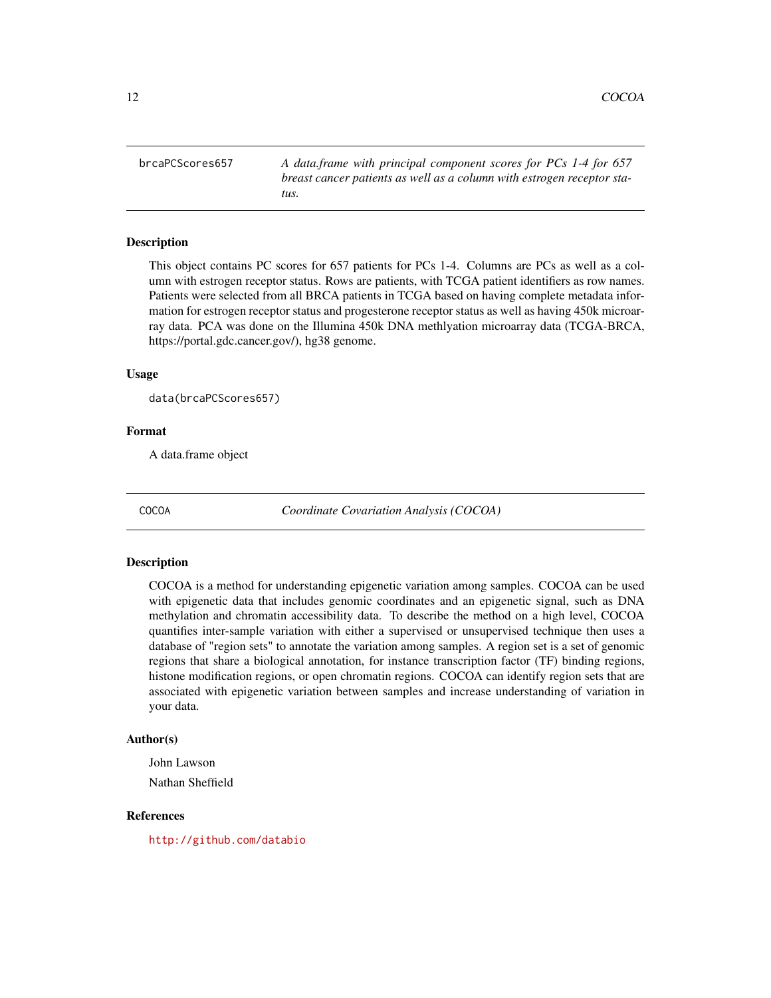<span id="page-11-0"></span>brcaPCScores657 *A data.frame with principal component scores for PCs 1-4 for 657 breast cancer patients as well as a column with estrogen receptor status.*

#### Description

This object contains PC scores for 657 patients for PCs 1-4. Columns are PCs as well as a column with estrogen receptor status. Rows are patients, with TCGA patient identifiers as row names. Patients were selected from all BRCA patients in TCGA based on having complete metadata information for estrogen receptor status and progesterone receptor status as well as having 450k microarray data. PCA was done on the Illumina 450k DNA methlyation microarray data (TCGA-BRCA, https://portal.gdc.cancer.gov/), hg38 genome.

#### Usage

```
data(brcaPCScores657)
```
#### Format

A data.frame object

COCOA *Coordinate Covariation Analysis (COCOA)*

#### Description

COCOA is a method for understanding epigenetic variation among samples. COCOA can be used with epigenetic data that includes genomic coordinates and an epigenetic signal, such as DNA methylation and chromatin accessibility data. To describe the method on a high level, COCOA quantifies inter-sample variation with either a supervised or unsupervised technique then uses a database of "region sets" to annotate the variation among samples. A region set is a set of genomic regions that share a biological annotation, for instance transcription factor (TF) binding regions, histone modification regions, or open chromatin regions. COCOA can identify region sets that are associated with epigenetic variation between samples and increase understanding of variation in your data.

#### Author(s)

John Lawson Nathan Sheffield

#### References

<http://github.com/databio>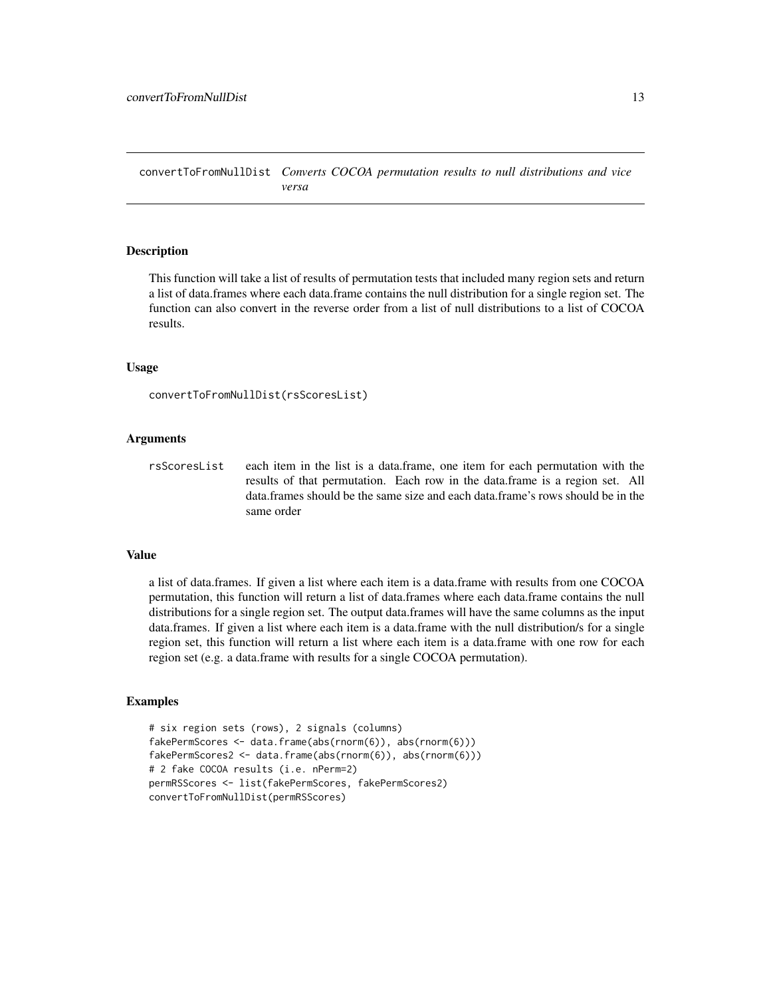<span id="page-12-0"></span>convertToFromNullDist *Converts COCOA permutation results to null distributions and vice versa*

#### Description

This function will take a list of results of permutation tests that included many region sets and return a list of data.frames where each data.frame contains the null distribution for a single region set. The function can also convert in the reverse order from a list of null distributions to a list of COCOA results.

#### Usage

```
convertToFromNullDist(rsScoresList)
```
#### Arguments

rsScoresList each item in the list is a data.frame, one item for each permutation with the results of that permutation. Each row in the data.frame is a region set. All data.frames should be the same size and each data.frame's rows should be in the same order

#### Value

a list of data.frames. If given a list where each item is a data.frame with results from one COCOA permutation, this function will return a list of data.frames where each data.frame contains the null distributions for a single region set. The output data.frames will have the same columns as the input data.frames. If given a list where each item is a data.frame with the null distribution/s for a single region set, this function will return a list where each item is a data.frame with one row for each region set (e.g. a data.frame with results for a single COCOA permutation).

#### Examples

```
# six region sets (rows), 2 signals (columns)
fakePermScores <- data.frame(abs(rnorm(6)), abs(rnorm(6)))
fakePermScores2 <- data.frame(abs(rnorm(6)), abs(rnorm(6)))
# 2 fake COCOA results (i.e. nPerm=2)
permRSScores <- list(fakePermScores, fakePermScores2)
convertToFromNullDist(permRSScores)
```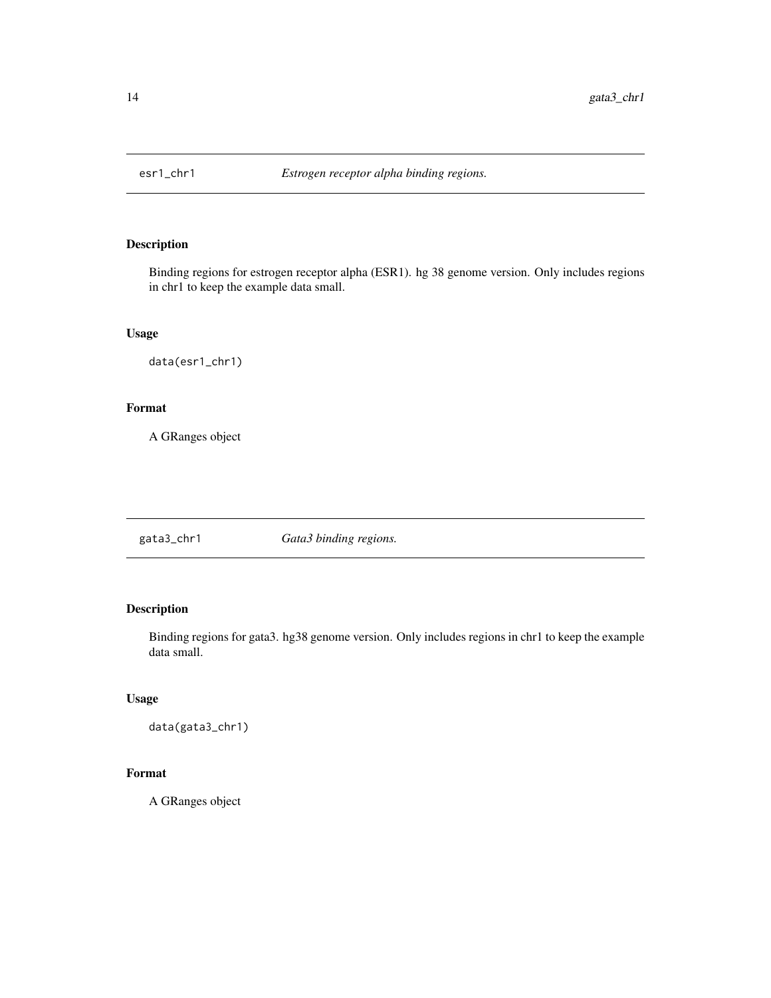<span id="page-13-0"></span>

#### Description

Binding regions for estrogen receptor alpha (ESR1). hg 38 genome version. Only includes regions in chr1 to keep the example data small.

#### Usage

data(esr1\_chr1)

#### Format

A GRanges object

gata3\_chr1 *Gata3 binding regions.*

#### Description

Binding regions for gata3. hg38 genome version. Only includes regions in chr1 to keep the example data small.

#### Usage

data(gata3\_chr1)

#### Format

A GRanges object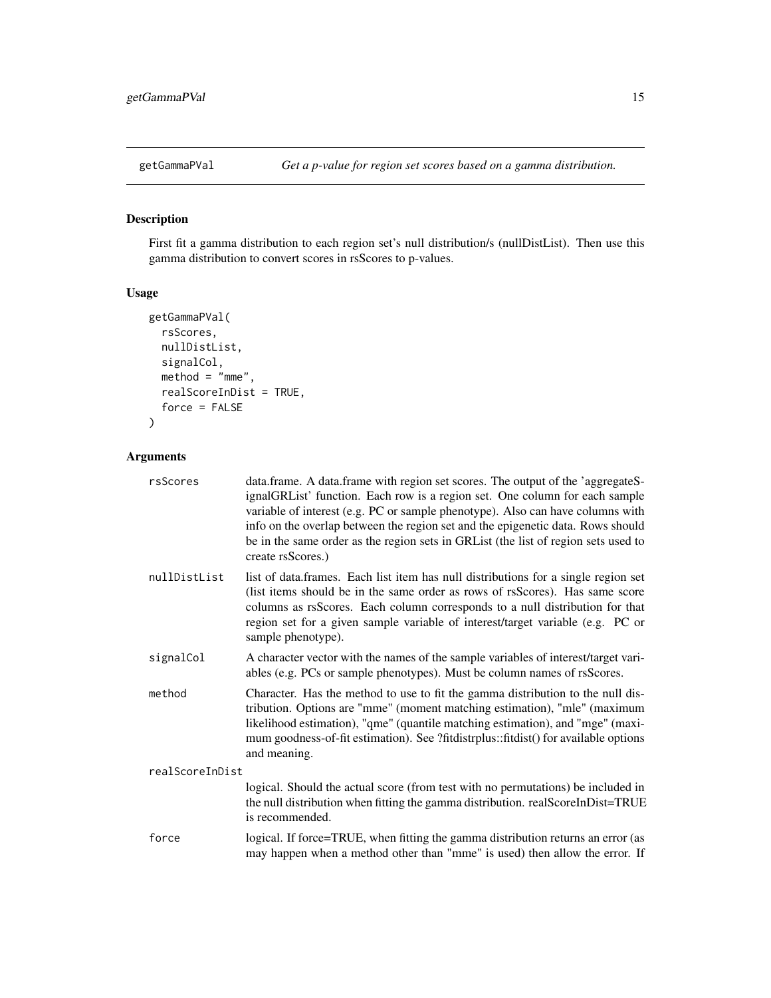<span id="page-14-0"></span>

#### Description

First fit a gamma distribution to each region set's null distribution/s (nullDistList). Then use this gamma distribution to convert scores in rsScores to p-values.

#### Usage

```
getGammaPVal(
  rsScores,
 nullDistList,
 signalCol,
 method = "mme",realScoreInDist = TRUE,
  force = FALSE
)
```

| rsScores        | data.frame. A data.frame with region set scores. The output of the 'aggregateS-<br>ignalGRList' function. Each row is a region set. One column for each sample<br>variable of interest (e.g. PC or sample phenotype). Also can have columns with<br>info on the overlap between the region set and the epigenetic data. Rows should<br>be in the same order as the region sets in GRList (the list of region sets used to<br>create rsScores.) |
|-----------------|------------------------------------------------------------------------------------------------------------------------------------------------------------------------------------------------------------------------------------------------------------------------------------------------------------------------------------------------------------------------------------------------------------------------------------------------|
| nullDistList    | list of data.frames. Each list item has null distributions for a single region set<br>(list items should be in the same order as rows of rsScores). Has same score<br>columns as rsScores. Each column corresponds to a null distribution for that<br>region set for a given sample variable of interest/target variable (e.g. PC or<br>sample phenotype).                                                                                     |
| signalCol       | A character vector with the names of the sample variables of interest/target vari-<br>ables (e.g. PCs or sample phenotypes). Must be column names of rsScores.                                                                                                                                                                                                                                                                                 |
| method          | Character. Has the method to use to fit the gamma distribution to the null dis-<br>tribution. Options are "mme" (moment matching estimation), "mle" (maximum<br>likelihood estimation), "qme" (quantile matching estimation), and "mge" (maxi-<br>mum goodness-of-fit estimation). See ?fitdistrplus::fitdist() for available options<br>and meaning.                                                                                          |
| realScoreInDist |                                                                                                                                                                                                                                                                                                                                                                                                                                                |
|                 | logical. Should the actual score (from test with no permutations) be included in<br>the null distribution when fitting the gamma distribution. realScoreInDist=TRUE<br>is recommended.                                                                                                                                                                                                                                                         |
| force           | logical. If force=TRUE, when fitting the gamma distribution returns an error (as<br>may happen when a method other than "mme" is used) then allow the error. If                                                                                                                                                                                                                                                                                |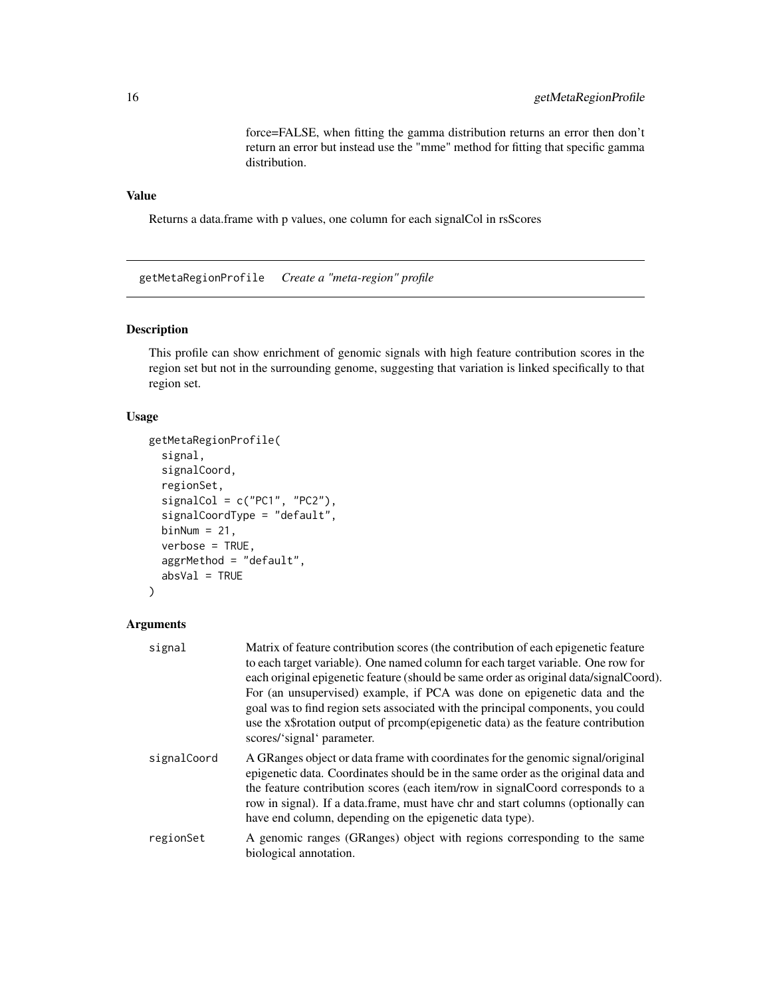force=FALSE, when fitting the gamma distribution returns an error then don't return an error but instead use the "mme" method for fitting that specific gamma distribution.

#### <span id="page-15-0"></span>Value

Returns a data.frame with p values, one column for each signalCol in rsScores

getMetaRegionProfile *Create a "meta-region" profile*

#### Description

This profile can show enrichment of genomic signals with high feature contribution scores in the region set but not in the surrounding genome, suggesting that variation is linked specifically to that region set.

#### Usage

```
getMetaRegionProfile(
  signal,
  signalCoord,
  regionSet,
  signalCol = c("PC1", "PC2"),
  signalCoordType = "default",
  binNum = 21,
  verbose = TRUE,
  aggrMethod = "default",
  absVal = TRUE\mathcal{L}
```

| signal      | Matrix of feature contribution scores (the contribution of each epigenetic feature<br>to each target variable). One named column for each target variable. One row for<br>each original epigenetic feature (should be same order as original data/signalCoord).<br>For (an unsupervised) example, if PCA was done on epigenetic data and the<br>goal was to find region sets associated with the principal components, you could<br>use the x\$rotation output of prcomp(epigenetic data) as the feature contribution<br>scores/'signal' parameter. |
|-------------|-----------------------------------------------------------------------------------------------------------------------------------------------------------------------------------------------------------------------------------------------------------------------------------------------------------------------------------------------------------------------------------------------------------------------------------------------------------------------------------------------------------------------------------------------------|
| signalCoord | A GRanges object or data frame with coordinates for the genomic signal/original<br>epigenetic data. Coordinates should be in the same order as the original data and<br>the feature contribution scores (each item/row in signalCoord corresponds to a<br>row in signal). If a data.frame, must have chr and start columns (optionally can<br>have end column, depending on the epigenetic data type).                                                                                                                                              |
| regionSet   | A genomic ranges (GRanges) object with regions corresponding to the same<br>biological annotation.                                                                                                                                                                                                                                                                                                                                                                                                                                                  |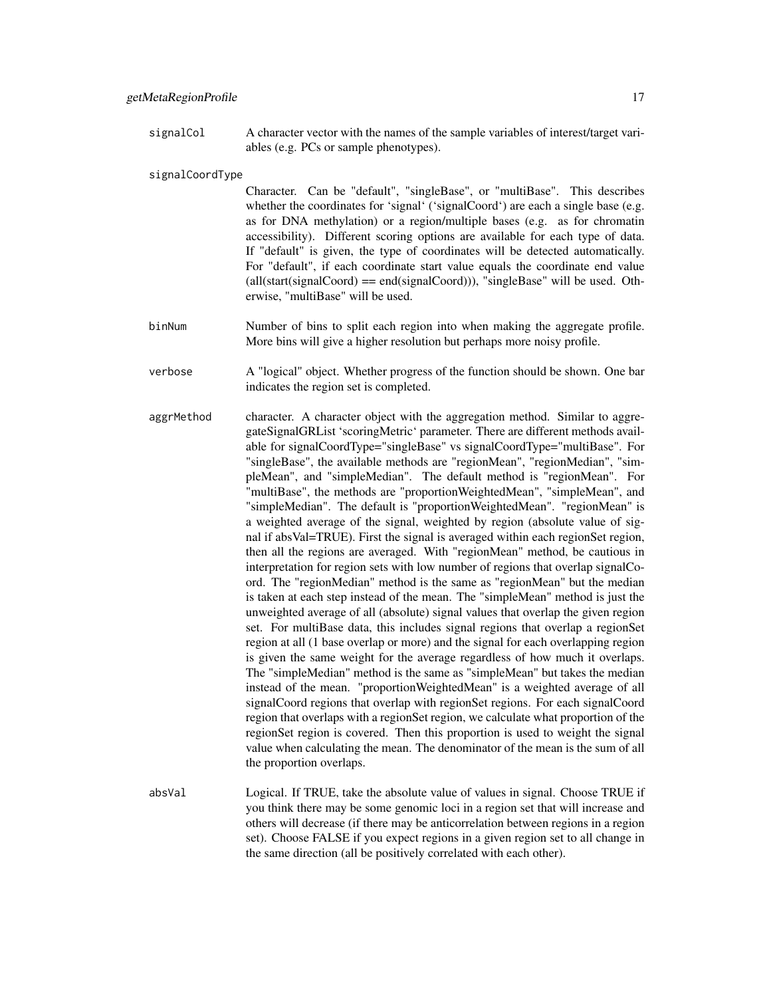signalCol A character vector with the names of the sample variables of interest/target variables (e.g. PCs or sample phenotypes).

signalCoordType

Character. Can be "default", "singleBase", or "multiBase". This describes whether the coordinates for 'signal' ('signalCoord') are each a single base (e.g. as for DNA methylation) or a region/multiple bases (e.g. as for chromatin accessibility). Different scoring options are available for each type of data. If "default" is given, the type of coordinates will be detected automatically. For "default", if each coordinate start value equals the coordinate end value (all(start(signalCoord) == end(signalCoord))), "singleBase" will be used. Otherwise, "multiBase" will be used.

- binNum Number of bins to split each region into when making the aggregate profile. More bins will give a higher resolution but perhaps more noisy profile.
- verbose A "logical" object. Whether progress of the function should be shown. One bar indicates the region set is completed.
- aggrMethod character. A character object with the aggregation method. Similar to aggregateSignalGRList 'scoringMetric' parameter. There are different methods available for signalCoordType="singleBase" vs signalCoordType="multiBase". For "singleBase", the available methods are "regionMean", "regionMedian", "simpleMean", and "simpleMedian". The default method is "regionMean". For "multiBase", the methods are "proportionWeightedMean", "simpleMean", and "simpleMedian". The default is "proportionWeightedMean". "regionMean" is a weighted average of the signal, weighted by region (absolute value of signal if absVal=TRUE). First the signal is averaged within each regionSet region, then all the regions are averaged. With "regionMean" method, be cautious in interpretation for region sets with low number of regions that overlap signalCoord. The "regionMedian" method is the same as "regionMean" but the median is taken at each step instead of the mean. The "simpleMean" method is just the unweighted average of all (absolute) signal values that overlap the given region set. For multiBase data, this includes signal regions that overlap a regionSet region at all (1 base overlap or more) and the signal for each overlapping region is given the same weight for the average regardless of how much it overlaps. The "simpleMedian" method is the same as "simpleMean" but takes the median instead of the mean. "proportionWeightedMean" is a weighted average of all signalCoord regions that overlap with regionSet regions. For each signalCoord region that overlaps with a regionSet region, we calculate what proportion of the regionSet region is covered. Then this proportion is used to weight the signal value when calculating the mean. The denominator of the mean is the sum of all the proportion overlaps.
- absVal Logical. If TRUE, take the absolute value of values in signal. Choose TRUE if you think there may be some genomic loci in a region set that will increase and others will decrease (if there may be anticorrelation between regions in a region set). Choose FALSE if you expect regions in a given region set to all change in the same direction (all be positively correlated with each other).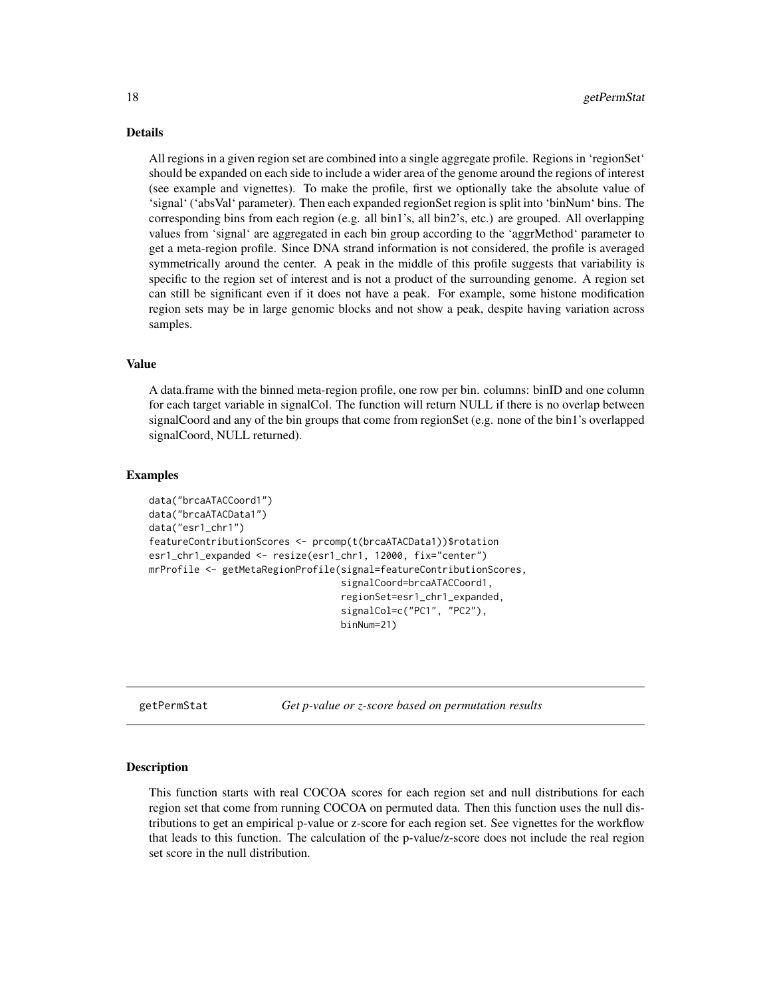#### <span id="page-17-0"></span>Details

All regions in a given region set are combined into a single aggregate profile. Regions in 'regionSet' should be expanded on each side to include a wider area of the genome around the regions of interest (see example and vignettes). To make the profile, first we optionally take the absolute value of 'signal' ('absVal' parameter). Then each expanded regionSet region is split into 'binNum' bins. The corresponding bins from each region (e.g. all bin1's, all bin2's, etc.) are grouped. All overlapping values from 'signal' are aggregated in each bin group according to the 'aggrMethod' parameter to get a meta-region profile. Since DNA strand information is not considered, the profile is averaged symmetrically around the center. A peak in the middle of this profile suggests that variability is specific to the region set of interest and is not a product of the surrounding genome. A region set can still be significant even if it does not have a peak. For example, some histone modification region sets may be in large genomic blocks and not show a peak, despite having variation across samples.

#### Value

A data.frame with the binned meta-region profile, one row per bin. columns: binID and one column for each target variable in signalCol. The function will return NULL if there is no overlap between signalCoord and any of the bin groups that come from regionSet (e.g. none of the bin1's overlapped signalCoord, NULL returned).

#### Examples

```
data("brcaATACCoord1")
data("brcaATACData1")
data("esr1_chr1")
featureContributionScores <- prcomp(t(brcaATACData1))$rotation
esr1_chr1_expanded <- resize(esr1_chr1, 12000, fix="center")
mrProfile <- getMetaRegionProfile(signal=featureContributionScores,
                                  signalCoord=brcaATACCoord1,
                                  regionSet=esr1_chr1_expanded,
                                  signalCol=c("PC1", "PC2"),
                                  binNum=21)
```
getPermStat *Get p-value or z-score based on permutation results*

#### Description

This function starts with real COCOA scores for each region set and null distributions for each region set that come from running COCOA on permuted data. Then this function uses the null distributions to get an empirical p-value or z-score for each region set. See vignettes for the workflow that leads to this function. The calculation of the p-value/z-score does not include the real region set score in the null distribution.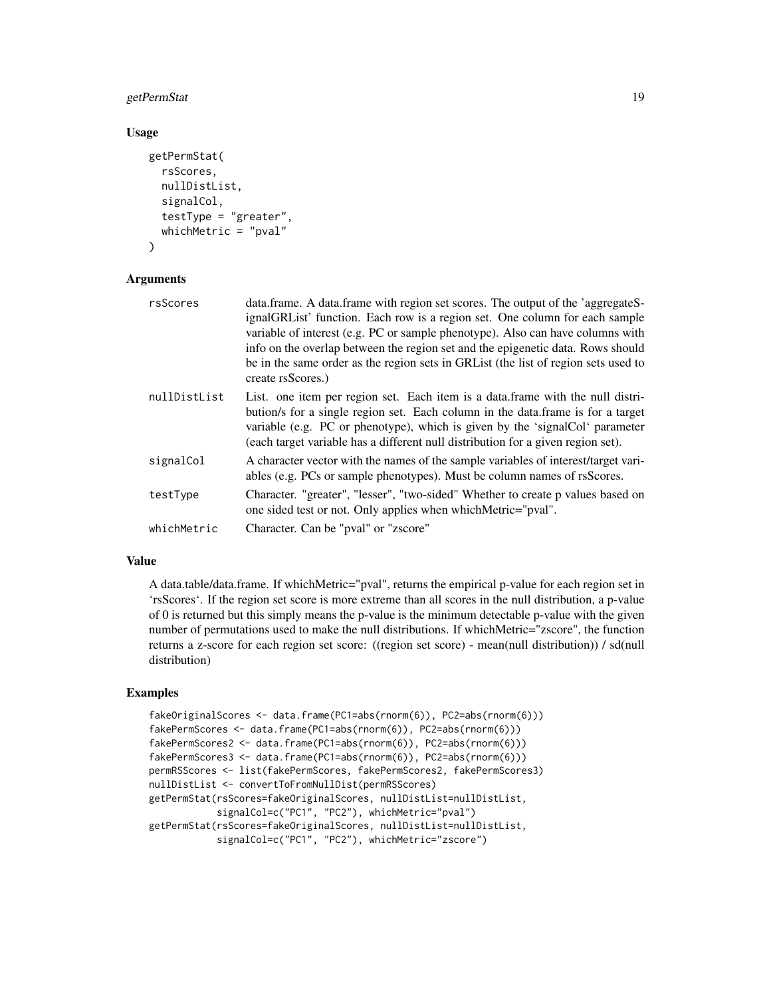#### getPermStat 19

#### Usage

```
getPermStat(
  rsScores,
  nullDistList,
  signalCol,
  testType = "greater",
  whichMetric = "pval"
)
```
#### Arguments

| rsScores     | data.frame. A data.frame with region set scores. The output of the 'aggregateS-<br>ignalGRList' function. Each row is a region set. One column for each sample<br>variable of interest (e.g. PC or sample phenotype). Also can have columns with<br>info on the overlap between the region set and the epigenetic data. Rows should<br>be in the same order as the region sets in GRL ist (the list of region sets used to<br>create rsScores.) |
|--------------|-------------------------------------------------------------------------------------------------------------------------------------------------------------------------------------------------------------------------------------------------------------------------------------------------------------------------------------------------------------------------------------------------------------------------------------------------|
| nullDistList | List. one item per region set. Each item is a data frame with the null distri-<br>bution's for a single region set. Each column in the data frame is for a target<br>variable (e.g. PC or phenotype), which is given by the 'signalCol' parameter<br>(each target variable has a different null distribution for a given region set).                                                                                                           |
| signalCol    | A character vector with the names of the sample variables of interest/target vari-<br>ables (e.g. PCs or sample phenotypes). Must be column names of rsScores.                                                                                                                                                                                                                                                                                  |
| testType     | Character. "greater", "lesser", "two-sided" Whether to create p values based on<br>one sided test or not. Only applies when which Metric="pval".                                                                                                                                                                                                                                                                                                |
| whichMetric  | Character. Can be "pval" or "zscore"                                                                                                                                                                                                                                                                                                                                                                                                            |
|              |                                                                                                                                                                                                                                                                                                                                                                                                                                                 |

#### Value

A data.table/data.frame. If whichMetric="pval", returns the empirical p-value for each region set in 'rsScores'. If the region set score is more extreme than all scores in the null distribution, a p-value of 0 is returned but this simply means the p-value is the minimum detectable p-value with the given number of permutations used to make the null distributions. If whichMetric="zscore", the function returns a z-score for each region set score: ((region set score) - mean(null distribution)) / sd(null distribution)

#### Examples

```
fakeOriginalScores <- data.frame(PC1=abs(rnorm(6)), PC2=abs(rnorm(6)))
fakePermScores <- data.frame(PC1=abs(rnorm(6)), PC2=abs(rnorm(6)))
fakePermScores2 <- data.frame(PC1=abs(rnorm(6)), PC2=abs(rnorm(6)))
fakePermScores3 <- data.frame(PC1=abs(rnorm(6)), PC2=abs(rnorm(6)))
permRSScores <- list(fakePermScores, fakePermScores2, fakePermScores3)
nullDistList <- convertToFromNullDist(permRSScores)
getPermStat(rsScores=fakeOriginalScores, nullDistList=nullDistList,
           signalCol=c("PC1", "PC2"), whichMetric="pval")
getPermStat(rsScores=fakeOriginalScores, nullDistList=nullDistList,
           signalCol=c("PC1", "PC2"), whichMetric="zscore")
```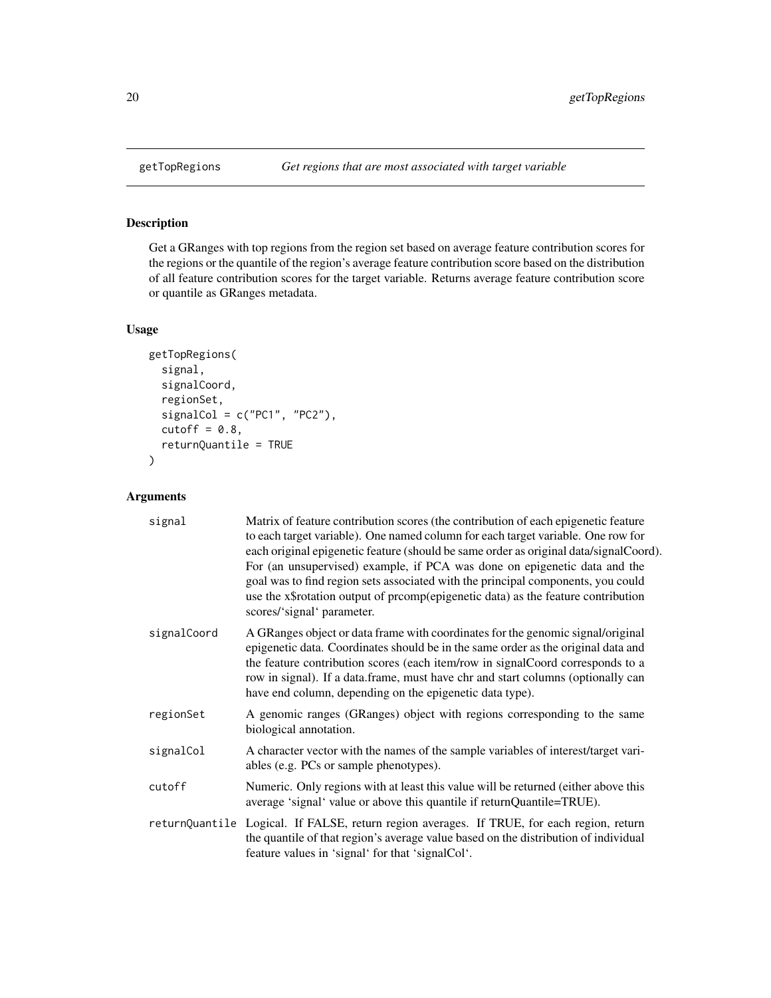#### Description

Get a GRanges with top regions from the region set based on average feature contribution scores for the regions or the quantile of the region's average feature contribution score based on the distribution of all feature contribution scores for the target variable. Returns average feature contribution score or quantile as GRanges metadata.

#### Usage

```
getTopRegions(
  signal,
  signalCoord,
  regionSet,
  signalCol = c("PC1", "PC2"),
  cutoff = 0.8,
  returnQuantile = TRUE
)
```

| signal      | Matrix of feature contribution scores (the contribution of each epigenetic feature<br>to each target variable). One named column for each target variable. One row for<br>each original epigenetic feature (should be same order as original data/signalCoord).<br>For (an unsupervised) example, if PCA was done on epigenetic data and the<br>goal was to find region sets associated with the principal components, you could<br>use the x\$rotation output of prcomp(epigenetic data) as the feature contribution<br>scores/'signal' parameter. |
|-------------|-----------------------------------------------------------------------------------------------------------------------------------------------------------------------------------------------------------------------------------------------------------------------------------------------------------------------------------------------------------------------------------------------------------------------------------------------------------------------------------------------------------------------------------------------------|
| signalCoord | A GRanges object or data frame with coordinates for the genomic signal/original<br>epigenetic data. Coordinates should be in the same order as the original data and<br>the feature contribution scores (each item/row in signalCoord corresponds to a<br>row in signal). If a data.frame, must have chr and start columns (optionally can<br>have end column, depending on the epigenetic data type).                                                                                                                                              |
| regionSet   | A genomic ranges (GRanges) object with regions corresponding to the same<br>biological annotation.                                                                                                                                                                                                                                                                                                                                                                                                                                                  |
| signalCol   | A character vector with the names of the sample variables of interest/target vari-<br>ables (e.g. PCs or sample phenotypes).                                                                                                                                                                                                                                                                                                                                                                                                                        |
| cutoff      | Numeric. Only regions with at least this value will be returned (either above this<br>average 'signal' value or above this quantile if returnQuantile=TRUE).                                                                                                                                                                                                                                                                                                                                                                                        |
|             | returnQuantile Logical. If FALSE, return region averages. If TRUE, for each region, return<br>the quantile of that region's average value based on the distribution of individual<br>feature values in 'signal' for that 'signalCol'.                                                                                                                                                                                                                                                                                                               |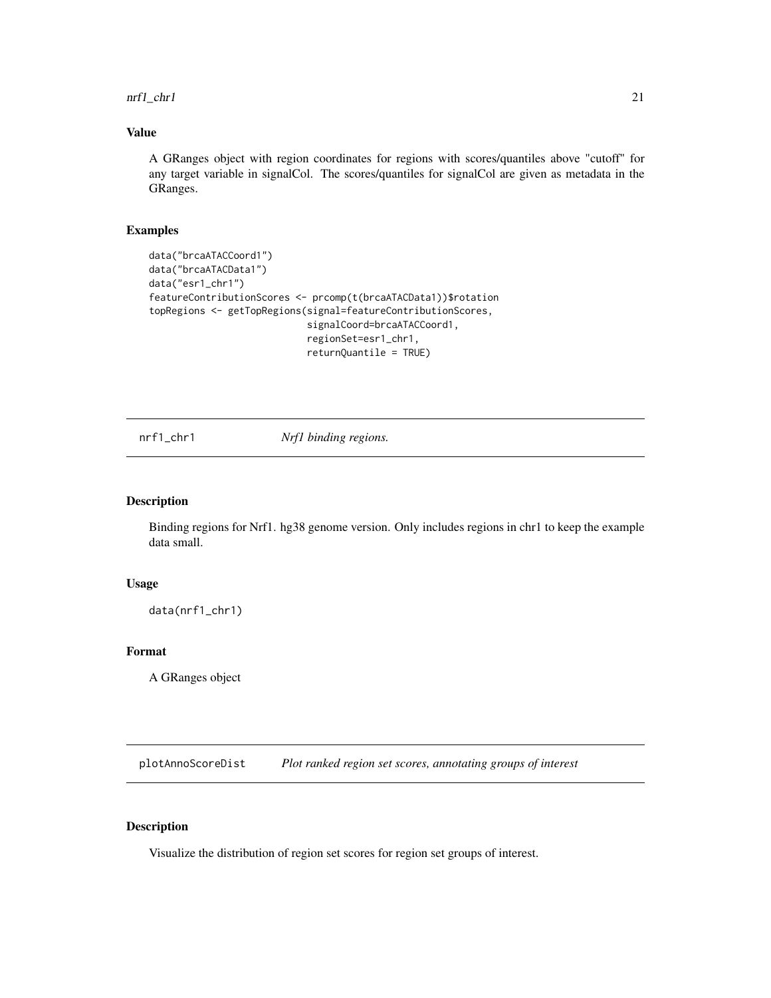<span id="page-20-0"></span>nrf1\_chr1 21

#### Value

A GRanges object with region coordinates for regions with scores/quantiles above "cutoff" for any target variable in signalCol. The scores/quantiles for signalCol are given as metadata in the GRanges.

#### Examples

```
data("brcaATACCoord1")
data("brcaATACData1")
data("esr1_chr1")
featureContributionScores <- prcomp(t(brcaATACData1))$rotation
topRegions <- getTopRegions(signal=featureContributionScores,
                            signalCoord=brcaATACCoord1,
                            regionSet=esr1_chr1,
                            returnQuantile = TRUE)
```
nrf1\_chr1 *Nrf1 binding regions.*

#### Description

Binding regions for Nrf1. hg38 genome version. Only includes regions in chr1 to keep the example data small.

#### Usage

data(nrf1\_chr1)

#### Format

A GRanges object

plotAnnoScoreDist *Plot ranked region set scores, annotating groups of interest*

#### Description

Visualize the distribution of region set scores for region set groups of interest.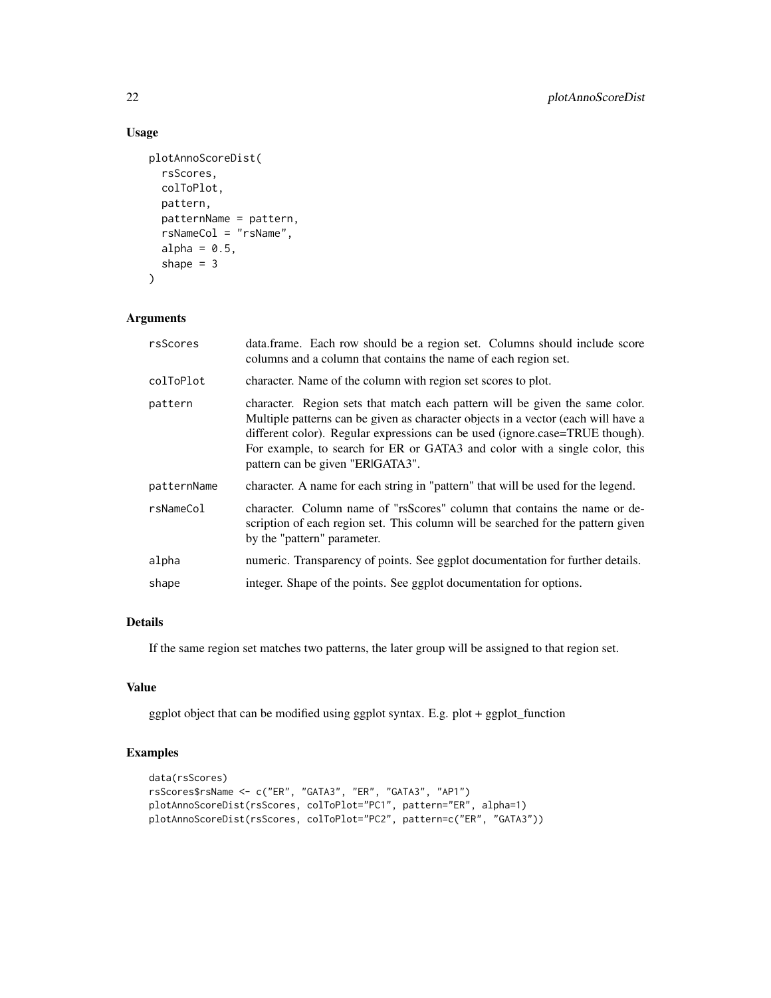#### Usage

```
plotAnnoScoreDist(
  rsScores,
 colToPlot,
 pattern,
 patternName = pattern,
  rsNameCol = "rsName",
  alpha = 0.5,
  shape = 3)
```
#### Arguments

| rsScores    | data.frame. Each row should be a region set. Columns should include score<br>columns and a column that contains the name of each region set.                                                                                                                                                                                                                        |
|-------------|---------------------------------------------------------------------------------------------------------------------------------------------------------------------------------------------------------------------------------------------------------------------------------------------------------------------------------------------------------------------|
| colToPlot   | character. Name of the column with region set scores to plot.                                                                                                                                                                                                                                                                                                       |
| pattern     | character. Region sets that match each pattern will be given the same color.<br>Multiple patterns can be given as character objects in a vector (each will have a<br>different color). Regular expressions can be used (ignore.case=TRUE though).<br>For example, to search for ER or GATA3 and color with a single color, this<br>pattern can be given "ERIGATA3". |
| patternName | character. A name for each string in "pattern" that will be used for the legend.                                                                                                                                                                                                                                                                                    |
| rsNameCol   | character. Column name of "rsScores" column that contains the name or de-<br>scription of each region set. This column will be searched for the pattern given<br>by the "pattern" parameter.                                                                                                                                                                        |
| alpha       | numeric. Transparency of points. See ggplot documentation for further details.                                                                                                                                                                                                                                                                                      |
| shape       | integer. Shape of the points. See ggplot documentation for options.                                                                                                                                                                                                                                                                                                 |

#### Details

If the same region set matches two patterns, the later group will be assigned to that region set.

#### Value

ggplot object that can be modified using ggplot syntax. E.g. plot + ggplot\_function

#### Examples

```
data(rsScores)
rsScores$rsName <- c("ER", "GATA3", "ER", "GATA3", "AP1")
plotAnnoScoreDist(rsScores, colToPlot="PC1", pattern="ER", alpha=1)
plotAnnoScoreDist(rsScores, colToPlot="PC2", pattern=c("ER", "GATA3"))
```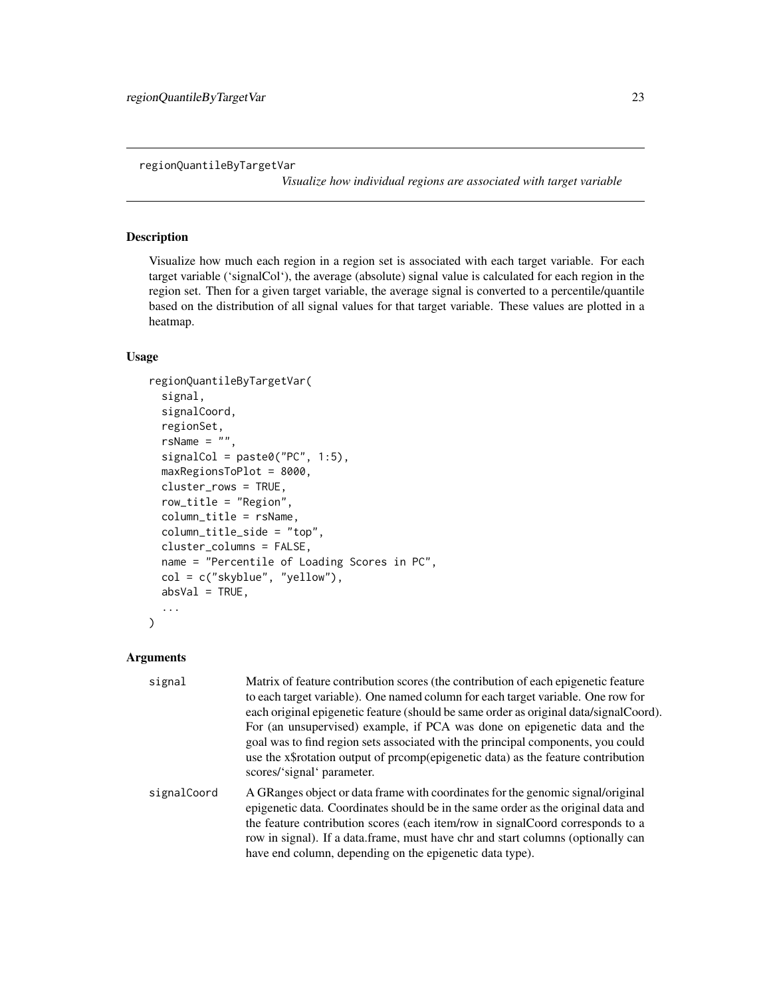<span id="page-22-0"></span>regionQuantileByTargetVar

*Visualize how individual regions are associated with target variable*

#### Description

Visualize how much each region in a region set is associated with each target variable. For each target variable ('signalCol'), the average (absolute) signal value is calculated for each region in the region set. Then for a given target variable, the average signal is converted to a percentile/quantile based on the distribution of all signal values for that target variable. These values are plotted in a heatmap.

#### Usage

```
regionQuantileByTargetVar(
  signal,
  signalCoord,
  regionSet,
  rsName = ",
  signalCol = paste0("PC", 1:5),maxRegionsToPlot = 8000,
  cluster_rows = TRUE,
  row_title = "Region",
  column_title = rsName,
  column_title_side = "top",
  cluster_columns = FALSE,
  name = "Percentile of Loading Scores in PC",
  col = c("skyblue", "yellow"),
  absVal = TRUE,...
)
```

| signal      | Matrix of feature contribution scores (the contribution of each epigenetic feature<br>to each target variable). One named column for each target variable. One row for<br>each original epigenetic feature (should be same order as original data/signalCoord).<br>For (an unsupervised) example, if PCA was done on epigenetic data and the<br>goal was to find region sets associated with the principal components, you could<br>use the x\$rotation output of promp(epigenetic data) as the feature contribution<br>scores/'signal' parameter. |
|-------------|----------------------------------------------------------------------------------------------------------------------------------------------------------------------------------------------------------------------------------------------------------------------------------------------------------------------------------------------------------------------------------------------------------------------------------------------------------------------------------------------------------------------------------------------------|
| signalCoord | A GRanges object or data frame with coordinates for the genomic signal/original<br>epigenetic data. Coordinates should be in the same order as the original data and<br>the feature contribution scores (each item/row in signal Coord corresponds to a<br>row in signal). If a data frame, must have chr and start columns (optionally can<br>have end column, depending on the epigenetic data type).                                                                                                                                            |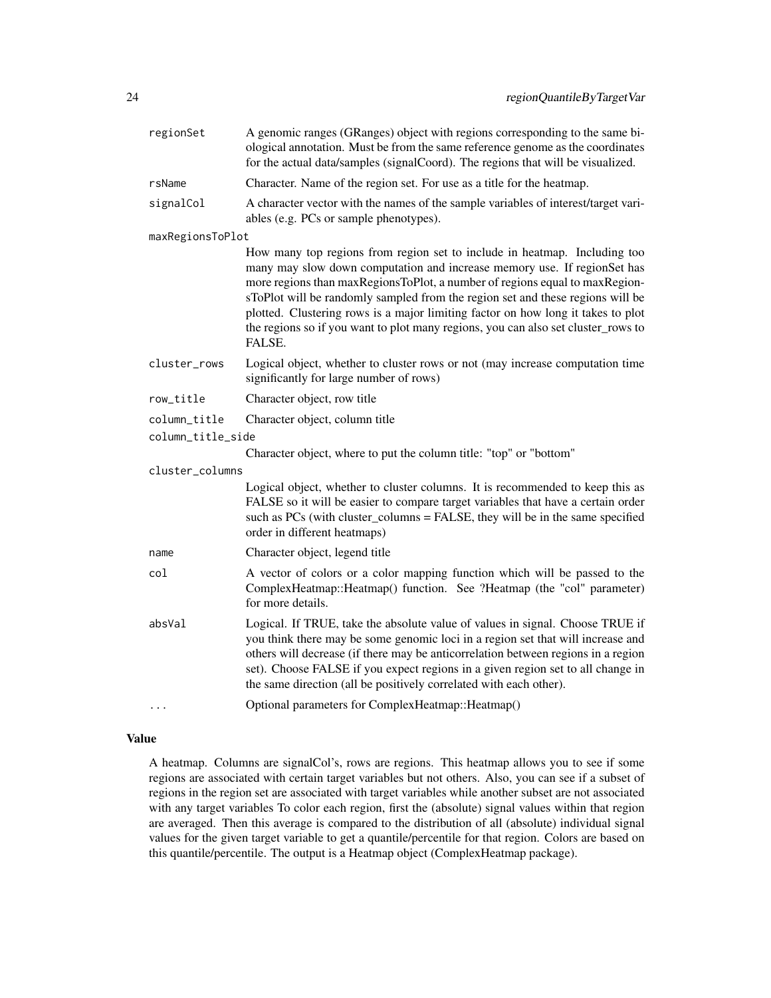| regionSet         | A genomic ranges (GRanges) object with regions corresponding to the same bi-<br>ological annotation. Must be from the same reference genome as the coordinates<br>for the actual data/samples (signalCoord). The regions that will be visualized.                                                                                                                                                                                                                                                         |
|-------------------|-----------------------------------------------------------------------------------------------------------------------------------------------------------------------------------------------------------------------------------------------------------------------------------------------------------------------------------------------------------------------------------------------------------------------------------------------------------------------------------------------------------|
| rsName            | Character. Name of the region set. For use as a title for the heatmap.                                                                                                                                                                                                                                                                                                                                                                                                                                    |
| signalCol         | A character vector with the names of the sample variables of interest/target vari-<br>ables (e.g. PCs or sample phenotypes).                                                                                                                                                                                                                                                                                                                                                                              |
| maxRegionsToPlot  |                                                                                                                                                                                                                                                                                                                                                                                                                                                                                                           |
|                   | How many top regions from region set to include in heatmap. Including too<br>many may slow down computation and increase memory use. If regionSet has<br>more regions than maxRegionsToPlot, a number of regions equal to maxRegion-<br>sToPlot will be randomly sampled from the region set and these regions will be<br>plotted. Clustering rows is a major limiting factor on how long it takes to plot<br>the regions so if you want to plot many regions, you can also set cluster_rows to<br>FALSE. |
| cluster_rows      | Logical object, whether to cluster rows or not (may increase computation time<br>significantly for large number of rows)                                                                                                                                                                                                                                                                                                                                                                                  |
| row_title         | Character object, row title                                                                                                                                                                                                                                                                                                                                                                                                                                                                               |
| column_title      | Character object, column title                                                                                                                                                                                                                                                                                                                                                                                                                                                                            |
| column_title_side |                                                                                                                                                                                                                                                                                                                                                                                                                                                                                                           |
|                   | Character object, where to put the column title: "top" or "bottom"                                                                                                                                                                                                                                                                                                                                                                                                                                        |
| cluster_columns   |                                                                                                                                                                                                                                                                                                                                                                                                                                                                                                           |
|                   | Logical object, whether to cluster columns. It is recommended to keep this as<br>FALSE so it will be easier to compare target variables that have a certain order<br>such as PCs (with cluster_columns = FALSE, they will be in the same specified<br>order in different heatmaps)                                                                                                                                                                                                                        |
| name              | Character object, legend title                                                                                                                                                                                                                                                                                                                                                                                                                                                                            |
| col               | A vector of colors or a color mapping function which will be passed to the<br>ComplexHeatmap::Heatmap() function. See ?Heatmap (the "col" parameter)<br>for more details.                                                                                                                                                                                                                                                                                                                                 |
| absVal            | Logical. If TRUE, take the absolute value of values in signal. Choose TRUE if<br>you think there may be some genomic loci in a region set that will increase and<br>others will decrease (if there may be anticorrelation between regions in a region<br>set). Choose FALSE if you expect regions in a given region set to all change in<br>the same direction (all be positively correlated with each other).                                                                                            |
| $\cdots$          | Optional parameters for ComplexHeatmap:: Heatmap()                                                                                                                                                                                                                                                                                                                                                                                                                                                        |

#### Value

A heatmap. Columns are signalCol's, rows are regions. This heatmap allows you to see if some regions are associated with certain target variables but not others. Also, you can see if a subset of regions in the region set are associated with target variables while another subset are not associated with any target variables To color each region, first the (absolute) signal values within that region are averaged. Then this average is compared to the distribution of all (absolute) individual signal values for the given target variable to get a quantile/percentile for that region. Colors are based on this quantile/percentile. The output is a Heatmap object (ComplexHeatmap package).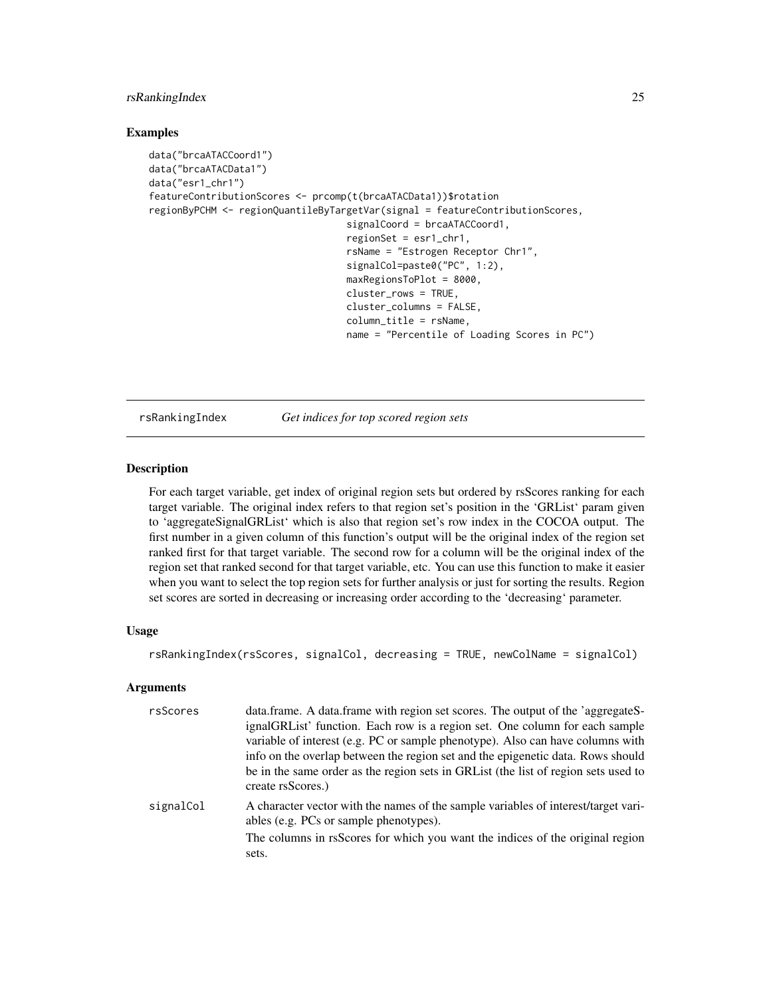#### <span id="page-24-0"></span>rsRankingIndex 25

#### Examples

```
data("brcaATACCoord1")
data("brcaATACData1")
data("esr1_chr1")
featureContributionScores <- prcomp(t(brcaATACData1))$rotation
regionByPCHM <- regionQuantileByTargetVar(signal = featureContributionScores,
                                   signalCoord = brcaATACCoord1,
                                   regionSet = esr1_chr1,
                                   rsName = "Estrogen Receptor Chr1",
                                   signalCol=paste0("PC", 1:2),
                                   maxRegionsToPlot = 8000,
                                   cluster_rows = TRUE,
                                   cluster_columns = FALSE,
                                   column_title = rsName,
                                   name = "Percentile of Loading Scores in PC")
```
rsRankingIndex *Get indices for top scored region sets*

#### Description

For each target variable, get index of original region sets but ordered by rsScores ranking for each target variable. The original index refers to that region set's position in the 'GRList' param given to 'aggregateSignalGRList' which is also that region set's row index in the COCOA output. The first number in a given column of this function's output will be the original index of the region set ranked first for that target variable. The second row for a column will be the original index of the region set that ranked second for that target variable, etc. You can use this function to make it easier when you want to select the top region sets for further analysis or just for sorting the results. Region set scores are sorted in decreasing or increasing order according to the 'decreasing' parameter.

#### Usage

rsRankingIndex(rsScores, signalCol, decreasing = TRUE, newColName = signalCol)

| rsScores  | data.frame. A data.frame with region set scores. The output of the 'aggregateS-<br>ignalGRList' function. Each row is a region set. One column for each sample<br>variable of interest (e.g. PC or sample phenotype). Also can have columns with |
|-----------|--------------------------------------------------------------------------------------------------------------------------------------------------------------------------------------------------------------------------------------------------|
|           | info on the overlap between the region set and the epigenetic data. Rows should<br>be in the same order as the region sets in GRL ist (the list of region sets used to<br>create rsScores.)                                                      |
| signalCol | A character vector with the names of the sample variables of interest/target vari-<br>ables (e.g. PCs or sample phenotypes).<br>The columns in rsScores for which you want the indices of the original region<br>sets.                           |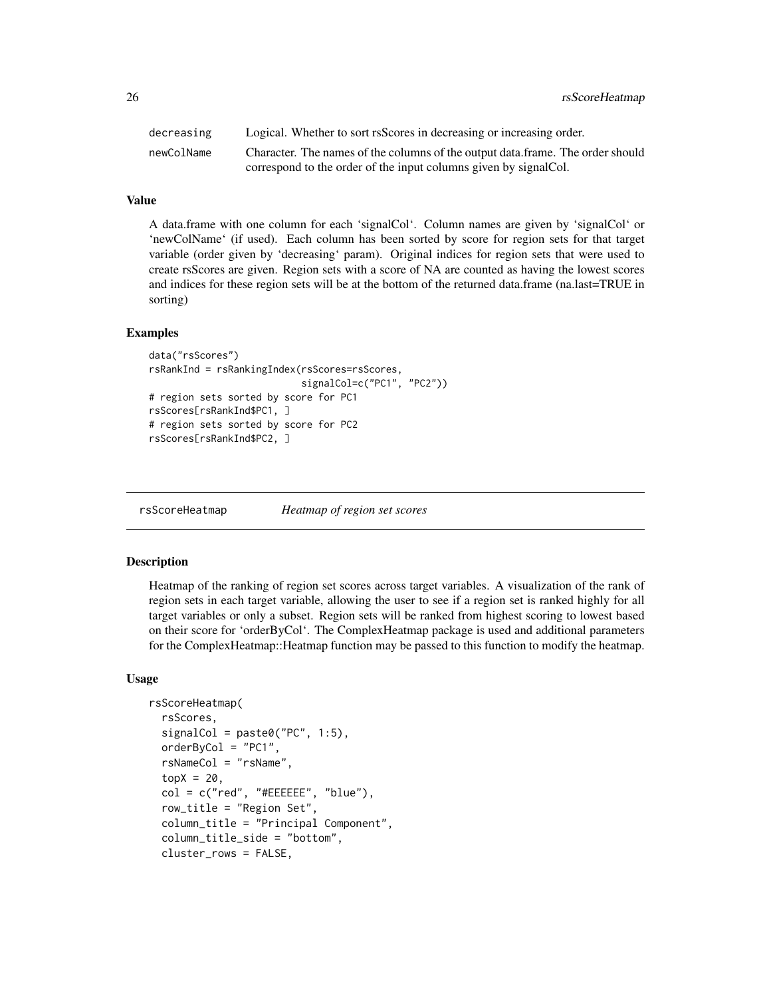<span id="page-25-0"></span>26 *rsScoreHeatmap rsScoreHeatmap* 

| decreasing | Logical. Whether to sort rsScores in decreasing or increasing order.           |
|------------|--------------------------------------------------------------------------------|
| newColName | Character. The names of the columns of the output data.frame. The order should |
|            | correspond to the order of the input columns given by signal Col.              |

#### Value

A data.frame with one column for each 'signalCol'. Column names are given by 'signalCol' or 'newColName' (if used). Each column has been sorted by score for region sets for that target variable (order given by 'decreasing' param). Original indices for region sets that were used to create rsScores are given. Region sets with a score of NA are counted as having the lowest scores and indices for these region sets will be at the bottom of the returned data.frame (na.last=TRUE in sorting)

#### Examples

```
data("rsScores")
rsRankInd = rsRankingIndex(rsScores=rsScores,
                          signalCol=c("PC1", "PC2"))
# region sets sorted by score for PC1
rsScores[rsRankInd$PC1, ]
# region sets sorted by score for PC2
rsScores[rsRankInd$PC2, ]
```
rsScoreHeatmap *Heatmap of region set scores*

#### Description

Heatmap of the ranking of region set scores across target variables. A visualization of the rank of region sets in each target variable, allowing the user to see if a region set is ranked highly for all target variables or only a subset. Region sets will be ranked from highest scoring to lowest based on their score for 'orderByCol'. The ComplexHeatmap package is used and additional parameters for the ComplexHeatmap::Heatmap function may be passed to this function to modify the heatmap.

#### Usage

```
rsScoreHeatmap(
  rsScores,
  signalCol = paste0("PC", 1:5),orderByCol = "PC1",
  rsNameCol = "rsName",
  topX = 20,
  col = c("red", "#EEEEEE", "blue"),row_title = "Region Set",
  column_title = "Principal Component",
  column_title_side = "bottom",
  cluster_rows = FALSE,
```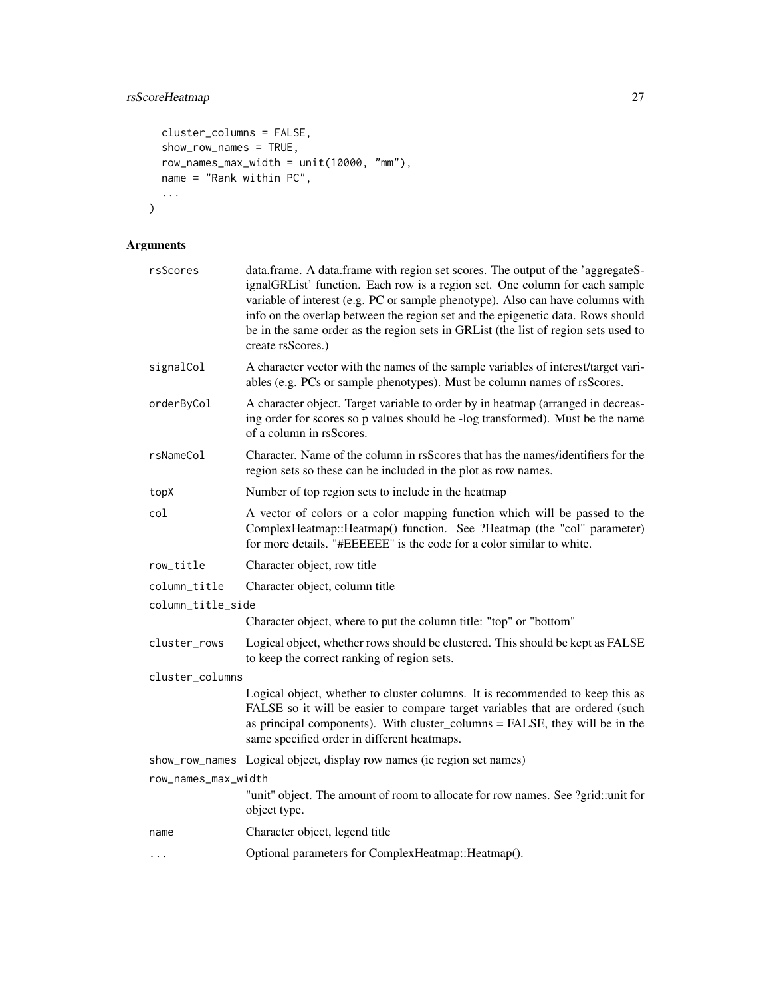```
cluster_columns = FALSE,
 show_row_names = TRUE,
 row_names_max_width = unit(10000, "mm"),
 name = "Rank within PC",
  ...
\mathcal{L}
```

| rsScores            | data.frame. A data.frame with region set scores. The output of the 'aggregateS-<br>ignalGRList' function. Each row is a region set. One column for each sample<br>variable of interest (e.g. PC or sample phenotype). Also can have columns with<br>info on the overlap between the region set and the epigenetic data. Rows should<br>be in the same order as the region sets in GRList (the list of region sets used to<br>create rsScores.) |  |  |
|---------------------|------------------------------------------------------------------------------------------------------------------------------------------------------------------------------------------------------------------------------------------------------------------------------------------------------------------------------------------------------------------------------------------------------------------------------------------------|--|--|
| signalCol           | A character vector with the names of the sample variables of interest/target vari-<br>ables (e.g. PCs or sample phenotypes). Must be column names of rsScores.                                                                                                                                                                                                                                                                                 |  |  |
| orderByCol          | A character object. Target variable to order by in heatmap (arranged in decreas-<br>ing order for scores so p values should be -log transformed). Must be the name<br>of a column in rsScores.                                                                                                                                                                                                                                                 |  |  |
| rsNameCol           | Character. Name of the column in rsScores that has the names/identifiers for the<br>region sets so these can be included in the plot as row names.                                                                                                                                                                                                                                                                                             |  |  |
| topX                | Number of top region sets to include in the heatmap                                                                                                                                                                                                                                                                                                                                                                                            |  |  |
| col                 | A vector of colors or a color mapping function which will be passed to the<br>ComplexHeatmap::Heatmap() function. See ?Heatmap (the "col" parameter)<br>for more details. "#EEEEEE" is the code for a color similar to white.                                                                                                                                                                                                                  |  |  |
| row_title           | Character object, row title                                                                                                                                                                                                                                                                                                                                                                                                                    |  |  |
| column_title        | Character object, column title                                                                                                                                                                                                                                                                                                                                                                                                                 |  |  |
| column_title_side   |                                                                                                                                                                                                                                                                                                                                                                                                                                                |  |  |
|                     | Character object, where to put the column title: "top" or "bottom"                                                                                                                                                                                                                                                                                                                                                                             |  |  |
| cluster_rows        | Logical object, whether rows should be clustered. This should be kept as FALSE<br>to keep the correct ranking of region sets.                                                                                                                                                                                                                                                                                                                  |  |  |
| cluster_columns     |                                                                                                                                                                                                                                                                                                                                                                                                                                                |  |  |
|                     | Logical object, whether to cluster columns. It is recommended to keep this as<br>FALSE so it will be easier to compare target variables that are ordered (such<br>as principal components). With cluster_columns = FALSE, they will be in the<br>same specified order in different heatmaps.                                                                                                                                                   |  |  |
|                     | show_row_names Logical object, display row names (ie region set names)                                                                                                                                                                                                                                                                                                                                                                         |  |  |
| row_names_max_width | "unit" object. The amount of room to allocate for row names. See ?grid::unit for<br>object type.                                                                                                                                                                                                                                                                                                                                               |  |  |
| name                | Character object, legend title                                                                                                                                                                                                                                                                                                                                                                                                                 |  |  |
| $\cdots$            | Optional parameters for ComplexHeatmap:: Heatmap().                                                                                                                                                                                                                                                                                                                                                                                            |  |  |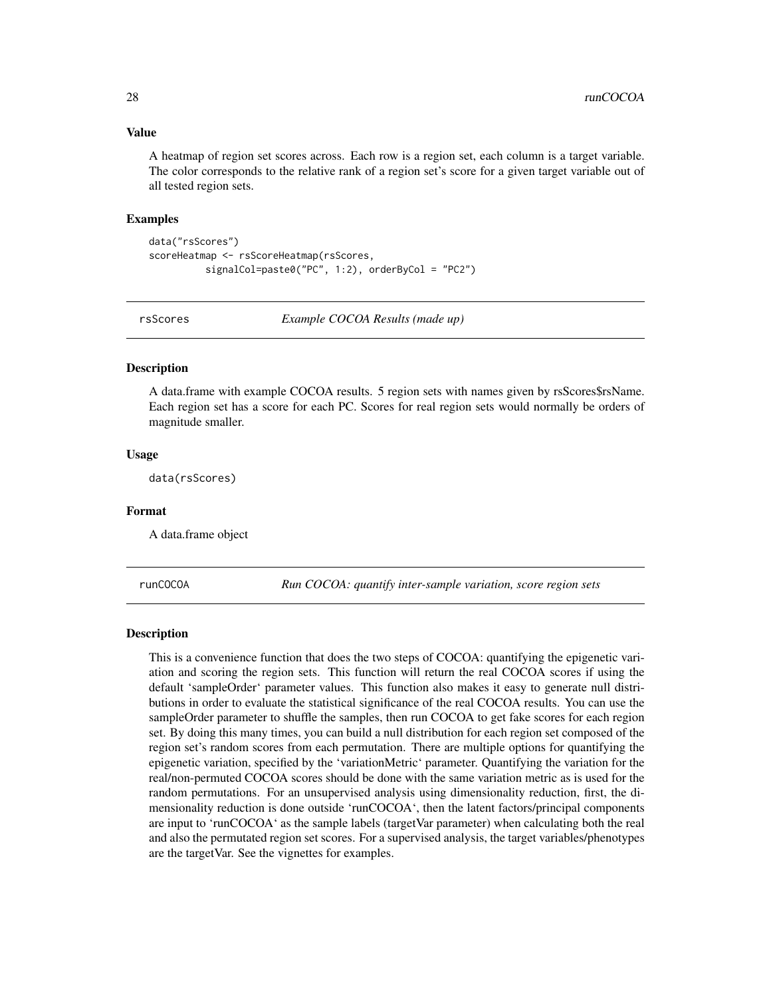#### <span id="page-27-0"></span>Value

A heatmap of region set scores across. Each row is a region set, each column is a target variable. The color corresponds to the relative rank of a region set's score for a given target variable out of all tested region sets.

#### Examples

```
data("rsScores")
scoreHeatmap <- rsScoreHeatmap(rsScores,
          signalCol=paste0("PC", 1:2), orderByCol = "PC2")
```
rsScores *Example COCOA Results (made up)*

#### Description

A data.frame with example COCOA results. 5 region sets with names given by rsScores\$rsName. Each region set has a score for each PC. Scores for real region sets would normally be orders of magnitude smaller.

#### Usage

data(rsScores)

#### Format

A data.frame object

runCOCOA *Run COCOA: quantify inter-sample variation, score region sets*

#### Description

This is a convenience function that does the two steps of COCOA: quantifying the epigenetic variation and scoring the region sets. This function will return the real COCOA scores if using the default 'sampleOrder' parameter values. This function also makes it easy to generate null distributions in order to evaluate the statistical significance of the real COCOA results. You can use the sampleOrder parameter to shuffle the samples, then run COCOA to get fake scores for each region set. By doing this many times, you can build a null distribution for each region set composed of the region set's random scores from each permutation. There are multiple options for quantifying the epigenetic variation, specified by the 'variationMetric' parameter. Quantifying the variation for the real/non-permuted COCOA scores should be done with the same variation metric as is used for the random permutations. For an unsupervised analysis using dimensionality reduction, first, the dimensionality reduction is done outside 'runCOCOA', then the latent factors/principal components are input to 'runCOCOA' as the sample labels (targetVar parameter) when calculating both the real and also the permutated region set scores. For a supervised analysis, the target variables/phenotypes are the targetVar. See the vignettes for examples.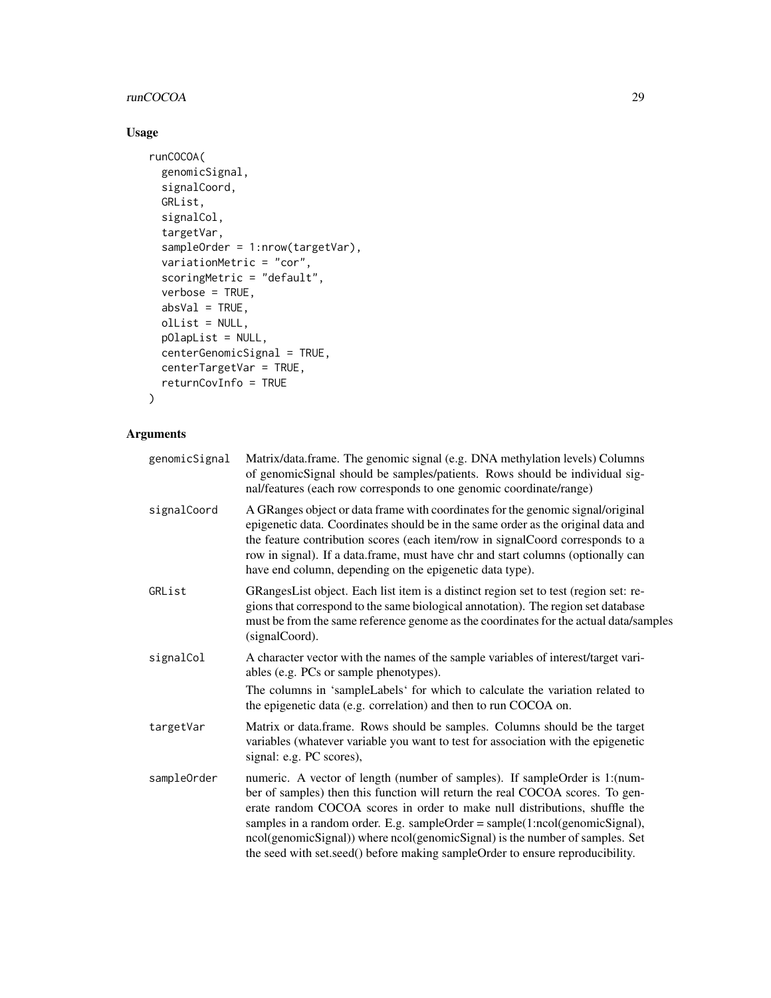#### runCOCOA 29

#### Usage

```
runCOCOA(
  genomicSignal,
  signalCoord,
 GRList,
  signalCol,
  targetVar,
  sampleOrder = 1:nrow(targetVar),
  variationMetric = "cor",
  scoringMetric = "default",
  verbose = TRUE,
  absVal = TRUE,olList = NULL,
 pOlapList = NULL,
  centerGenomicSignal = TRUE,
  centerTargetVar = TRUE,
 returnCovInfo = TRUE
\mathcal{L}
```

| genomicSignal | Matrix/data.frame. The genomic signal (e.g. DNA methylation levels) Columns<br>of genomicSignal should be samples/patients. Rows should be individual sig-<br>nal/features (each row corresponds to one genomic coordinate/range)                                                                                                                                                                                                                                                          |
|---------------|--------------------------------------------------------------------------------------------------------------------------------------------------------------------------------------------------------------------------------------------------------------------------------------------------------------------------------------------------------------------------------------------------------------------------------------------------------------------------------------------|
| signalCoord   | A GRanges object or data frame with coordinates for the genomic signal/original<br>epigenetic data. Coordinates should be in the same order as the original data and<br>the feature contribution scores (each item/row in signalCoord corresponds to a<br>row in signal). If a data.frame, must have chr and start columns (optionally can<br>have end column, depending on the epigenetic data type).                                                                                     |
| GRList        | GRangesList object. Each list item is a distinct region set to test (region set: re-<br>gions that correspond to the same biological annotation). The region set database<br>must be from the same reference genome as the coordinates for the actual data/samples<br>(signalCoord).                                                                                                                                                                                                       |
| signalCol     | A character vector with the names of the sample variables of interest/target vari-<br>ables (e.g. PCs or sample phenotypes).<br>The columns in 'sampleLabels' for which to calculate the variation related to<br>the epigenetic data (e.g. correlation) and then to run COCOA on.                                                                                                                                                                                                          |
| targetVar     | Matrix or data.frame. Rows should be samples. Columns should be the target<br>variables (whatever variable you want to test for association with the epigenetic<br>signal: e.g. PC scores),                                                                                                                                                                                                                                                                                                |
| sampleOrder   | numeric. A vector of length (number of samples). If sampleOrder is 1: (num-<br>ber of samples) then this function will return the real COCOA scores. To gen-<br>erate random COCOA scores in order to make null distributions, shuffle the<br>samples in a random order. E.g. sampleOrder = sample(1:ncol(genomicSignal),<br>ncol(genomicSignal)) where ncol(genomicSignal) is the number of samples. Set<br>the seed with set.seed() before making sampleOrder to ensure reproducibility. |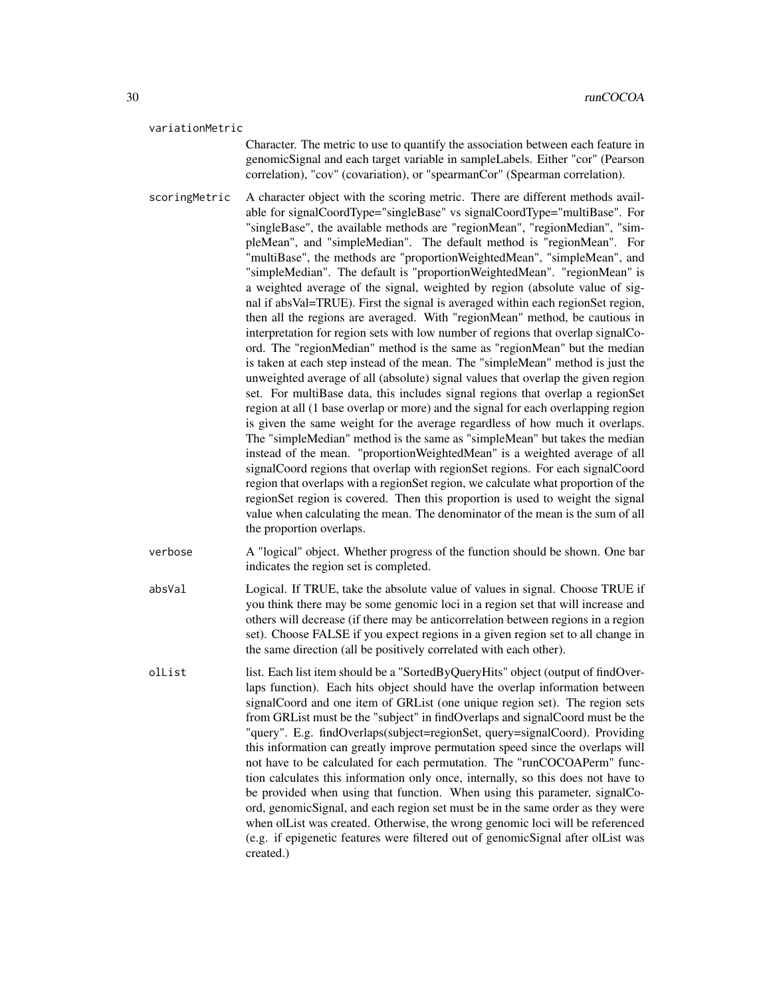#### variationMetric

Character. The metric to use to quantify the association between each feature in genomicSignal and each target variable in sampleLabels. Either "cor" (Pearson correlation), "cov" (covariation), or "spearmanCor" (Spearman correlation).

- scoringMetric A character object with the scoring metric. There are different methods available for signalCoordType="singleBase" vs signalCoordType="multiBase". For "singleBase", the available methods are "regionMean", "regionMedian", "simpleMean", and "simpleMedian". The default method is "regionMean". For "multiBase", the methods are "proportionWeightedMean", "simpleMean", and "simpleMedian". The default is "proportionWeightedMean". "regionMean" is a weighted average of the signal, weighted by region (absolute value of signal if absVal=TRUE). First the signal is averaged within each regionSet region, then all the regions are averaged. With "regionMean" method, be cautious in interpretation for region sets with low number of regions that overlap signalCoord. The "regionMedian" method is the same as "regionMean" but the median is taken at each step instead of the mean. The "simpleMean" method is just the unweighted average of all (absolute) signal values that overlap the given region set. For multiBase data, this includes signal regions that overlap a regionSet region at all (1 base overlap or more) and the signal for each overlapping region is given the same weight for the average regardless of how much it overlaps. The "simpleMedian" method is the same as "simpleMean" but takes the median instead of the mean. "proportionWeightedMean" is a weighted average of all signalCoord regions that overlap with regionSet regions. For each signalCoord region that overlaps with a regionSet region, we calculate what proportion of the regionSet region is covered. Then this proportion is used to weight the signal value when calculating the mean. The denominator of the mean is the sum of all the proportion overlaps.
- verbose A "logical" object. Whether progress of the function should be shown. One bar indicates the region set is completed.
- absVal Logical. If TRUE, take the absolute value of values in signal. Choose TRUE if you think there may be some genomic loci in a region set that will increase and others will decrease (if there may be anticorrelation between regions in a region set). Choose FALSE if you expect regions in a given region set to all change in the same direction (all be positively correlated with each other).
- olList list. Each list item should be a "SortedByQueryHits" object (output of findOverlaps function). Each hits object should have the overlap information between signalCoord and one item of GRList (one unique region set). The region sets from GRList must be the "subject" in findOverlaps and signalCoord must be the "query". E.g. findOverlaps(subject=regionSet, query=signalCoord). Providing this information can greatly improve permutation speed since the overlaps will not have to be calculated for each permutation. The "runCOCOAPerm" function calculates this information only once, internally, so this does not have to be provided when using that function. When using this parameter, signalCoord, genomicSignal, and each region set must be in the same order as they were when olList was created. Otherwise, the wrong genomic loci will be referenced (e.g. if epigenetic features were filtered out of genomicSignal after olList was created.)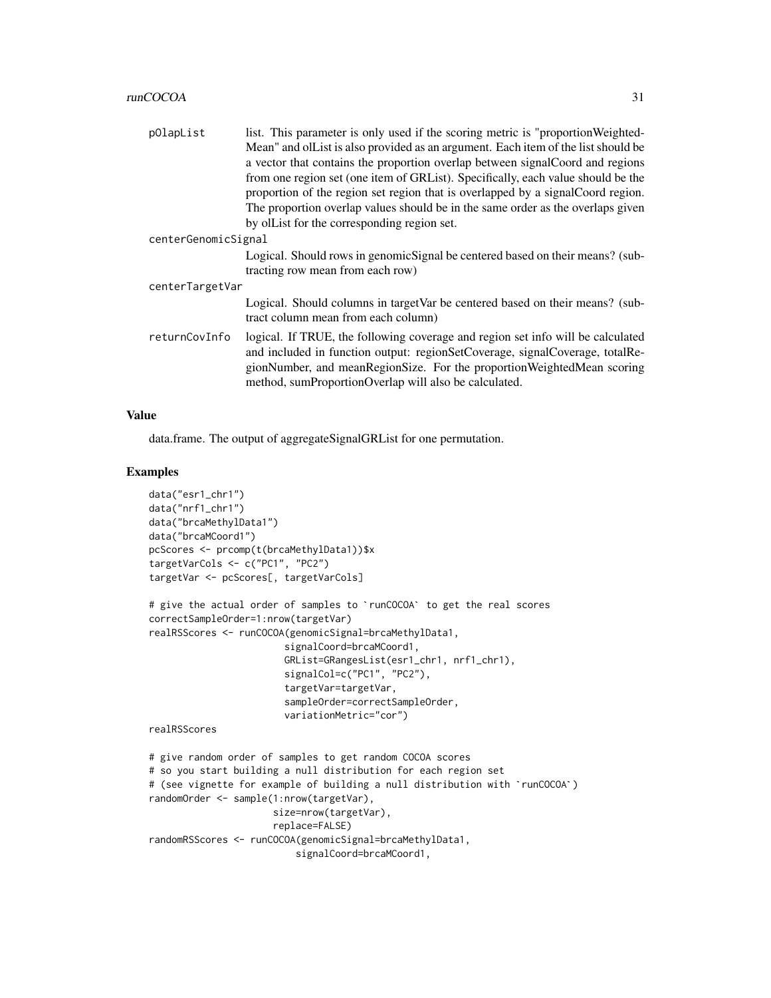|                     | list. This parameter is only used if the scoring metric is "proportion Weighted-  |
|---------------------|-----------------------------------------------------------------------------------|
| p0lapList           |                                                                                   |
|                     | Mean" and olList is also provided as an argument. Each item of the list should be |
|                     | a vector that contains the proportion overlap between signal Coord and regions    |
|                     | from one region set (one item of GRList). Specifically, each value should be the  |
|                     | proportion of the region set region that is overlapped by a signal Coord region.  |
|                     | The proportion overlap values should be in the same order as the overlaps given   |
|                     | by ollet for the corresponding region set.                                        |
| centerGenomicSignal |                                                                                   |
|                     | Logical. Should rows in genomic Signal be centered based on their means? (sub-    |
|                     | tracting row mean from each row)                                                  |
| centerTargetVar     |                                                                                   |
|                     | Logical. Should columns in target Var be centered based on their means? (sub-     |
|                     | tract column mean from each column)                                               |

returnCovInfo logical. If TRUE, the following coverage and region set info will be calculated and included in function output: regionSetCoverage, signalCoverage, totalRegionNumber, and meanRegionSize. For the proportionWeightedMean scoring method, sumProportionOverlap will also be calculated.

#### Value

data.frame. The output of aggregateSignalGRList for one permutation.

#### Examples

```
data("esr1_chr1")
data("nrf1_chr1")
data("brcaMethylData1")
data("brcaMCoord1")
pcScores <- prcomp(t(brcaMethylData1))$x
targetVarCols <- c("PC1", "PC2")
targetVar <- pcScores[, targetVarCols]
# give the actual order of samples to `runCOCOA` to get the real scores
correctSampleOrder=1:nrow(targetVar)
realRSScores <- runCOCOA(genomicSignal=brcaMethylData1,
                        signalCoord=brcaMCoord1,
                        GRList=GRangesList(esr1_chr1, nrf1_chr1),
                        signalCol=c("PC1", "PC2"),
                        targetVar=targetVar,
                        sampleOrder=correctSampleOrder,
                        variationMetric="cor")
realRSScores
# give random order of samples to get random COCOA scores
# so you start building a null distribution for each region set
# (see vignette for example of building a null distribution with `runCOCOA`)
randomOrder <- sample(1:nrow(targetVar),
                      size=nrow(targetVar),
                      replace=FALSE)
randomRSScores <- runCOCOA(genomicSignal=brcaMethylData1,
                          signalCoord=brcaMCoord1,
```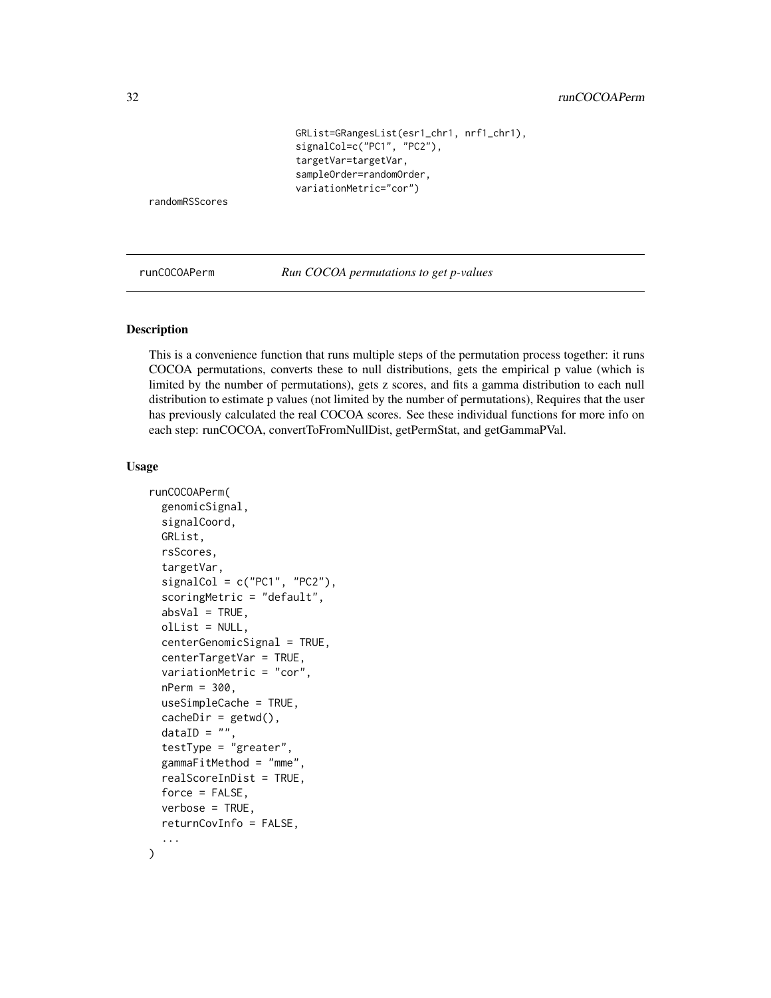```
GRList=GRangesList(esr1_chr1, nrf1_chr1),
signalCol=c("PC1", "PC2"),
targetVar=targetVar,
sampleOrder=randomOrder,
variationMetric="cor")
```
<span id="page-31-0"></span>randomRSScores

runCOCOAPerm *Run COCOA permutations to get p-values*

#### Description

This is a convenience function that runs multiple steps of the permutation process together: it runs COCOA permutations, converts these to null distributions, gets the empirical p value (which is limited by the number of permutations), gets z scores, and fits a gamma distribution to each null distribution to estimate p values (not limited by the number of permutations), Requires that the user has previously calculated the real COCOA scores. See these individual functions for more info on each step: runCOCOA, convertToFromNullDist, getPermStat, and getGammaPVal.

#### Usage

```
runCOCOAPerm(
  genomicSignal,
  signalCoord,
  GRList,
  rsScores,
  targetVar,
  signalCol = c("PC1", "PC2"),scoringMetric = "default",
  absVal = TRUE.
  olList = NULL,
  centerGenomicSignal = TRUE,
  centerTargetVar = TRUE,
  variationMetric = "cor",
  nPerm = 300,
  useSimpleCache = TRUE,
  cacheDir = getwd(),
  dataID = "",testType = "greater",
  gammaFitMethod = "mme",
  realScoreInDist = TRUE,
  force = FALSE,
  verbose = TRUE,
  returnCovInfo = FALSE,
  ...
)
```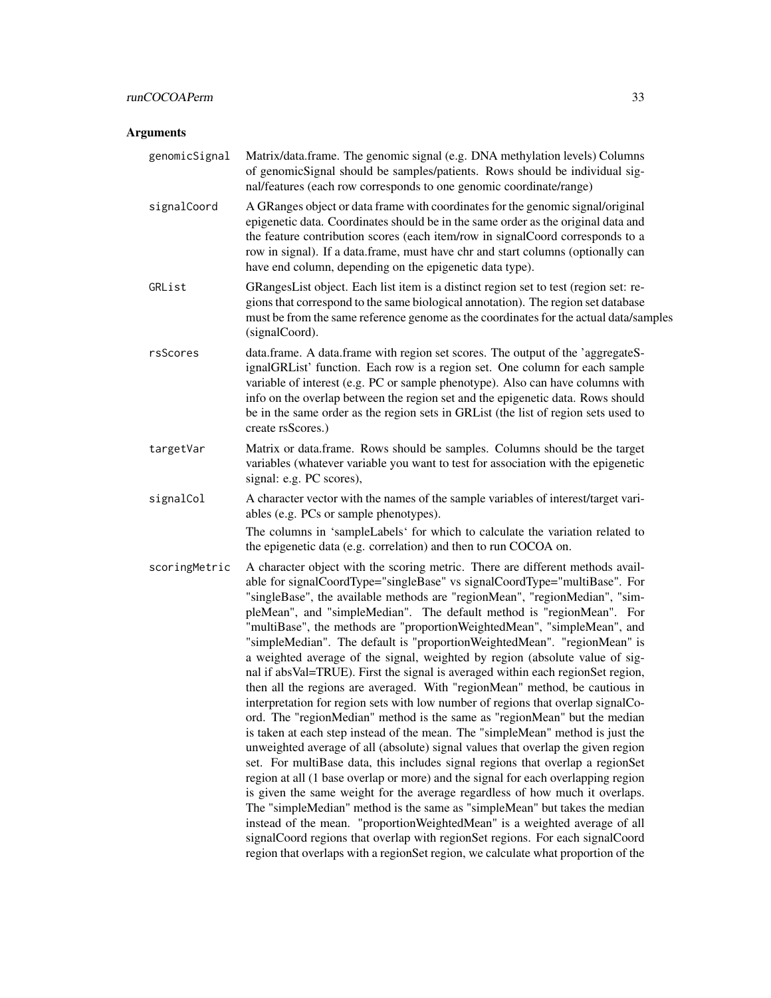| genomicSignal | Matrix/data.frame. The genomic signal (e.g. DNA methylation levels) Columns<br>of genomicSignal should be samples/patients. Rows should be individual sig-<br>nal/features (each row corresponds to one genomic coordinate/range)                                                                                                                                                                                                                                                                                                                                                                                                                                                                                                                                                                                                                                                                                                                                                                                                                                                                                                                                                                                                                                                                                                                                                                                                                                                                                                                                                                                                                             |
|---------------|---------------------------------------------------------------------------------------------------------------------------------------------------------------------------------------------------------------------------------------------------------------------------------------------------------------------------------------------------------------------------------------------------------------------------------------------------------------------------------------------------------------------------------------------------------------------------------------------------------------------------------------------------------------------------------------------------------------------------------------------------------------------------------------------------------------------------------------------------------------------------------------------------------------------------------------------------------------------------------------------------------------------------------------------------------------------------------------------------------------------------------------------------------------------------------------------------------------------------------------------------------------------------------------------------------------------------------------------------------------------------------------------------------------------------------------------------------------------------------------------------------------------------------------------------------------------------------------------------------------------------------------------------------------|
| signalCoord   | A GRanges object or data frame with coordinates for the genomic signal/original<br>epigenetic data. Coordinates should be in the same order as the original data and<br>the feature contribution scores (each item/row in signalCoord corresponds to a<br>row in signal). If a data.frame, must have chr and start columns (optionally can<br>have end column, depending on the epigenetic data type).                                                                                                                                                                                                                                                                                                                                                                                                                                                                                                                                                                                                                                                                                                                                                                                                                                                                                                                                                                                                                                                                                                                                                                                                                                                        |
| GRList        | GRangesList object. Each list item is a distinct region set to test (region set: re-<br>gions that correspond to the same biological annotation). The region set database<br>must be from the same reference genome as the coordinates for the actual data/samples<br>(signalCoord).                                                                                                                                                                                                                                                                                                                                                                                                                                                                                                                                                                                                                                                                                                                                                                                                                                                                                                                                                                                                                                                                                                                                                                                                                                                                                                                                                                          |
| rsScores      | data.frame. A data.frame with region set scores. The output of the 'aggregateS-<br>ignalGRList' function. Each row is a region set. One column for each sample<br>variable of interest (e.g. PC or sample phenotype). Also can have columns with<br>info on the overlap between the region set and the epigenetic data. Rows should<br>be in the same order as the region sets in GRList (the list of region sets used to<br>create rsScores.)                                                                                                                                                                                                                                                                                                                                                                                                                                                                                                                                                                                                                                                                                                                                                                                                                                                                                                                                                                                                                                                                                                                                                                                                                |
| targetVar     | Matrix or data.frame. Rows should be samples. Columns should be the target<br>variables (whatever variable you want to test for association with the epigenetic<br>signal: e.g. PC scores),                                                                                                                                                                                                                                                                                                                                                                                                                                                                                                                                                                                                                                                                                                                                                                                                                                                                                                                                                                                                                                                                                                                                                                                                                                                                                                                                                                                                                                                                   |
| signalCol     | A character vector with the names of the sample variables of interest/target vari-<br>ables (e.g. PCs or sample phenotypes).<br>The columns in 'sampleLabels' for which to calculate the variation related to<br>the epigenetic data (e.g. correlation) and then to run COCOA on.                                                                                                                                                                                                                                                                                                                                                                                                                                                                                                                                                                                                                                                                                                                                                                                                                                                                                                                                                                                                                                                                                                                                                                                                                                                                                                                                                                             |
| scoringMetric | A character object with the scoring metric. There are different methods avail-<br>able for signalCoordType="singleBase" vs signalCoordType="multiBase". For<br>"singleBase", the available methods are "regionMean", "regionMedian", "sim-<br>pleMean", and "simpleMedian". The default method is "regionMean". For<br>"multiBase", the methods are "proportionWeightedMean", "simpleMean", and<br>"simpleMedian". The default is "proportionWeightedMean". "regionMean" is<br>a weighted average of the signal, weighted by region (absolute value of sig-<br>nal if absVal=TRUE). First the signal is averaged within each regionSet region,<br>then all the regions are averaged. With "regionMean" method, be cautious in<br>interpretation for region sets with low number of regions that overlap signalCo-<br>ord. The "regionMedian" method is the same as "regionMean" but the median<br>is taken at each step instead of the mean. The "simpleMean" method is just the<br>unweighted average of all (absolute) signal values that overlap the given region<br>set. For multiBase data, this includes signal regions that overlap a regionSet<br>region at all (1 base overlap or more) and the signal for each overlapping region<br>is given the same weight for the average regardless of how much it overlaps.<br>The "simpleMedian" method is the same as "simpleMean" but takes the median<br>instead of the mean. "proportionWeightedMean" is a weighted average of all<br>signalCoord regions that overlap with regionSet regions. For each signalCoord<br>region that overlaps with a regionSet region, we calculate what proportion of the |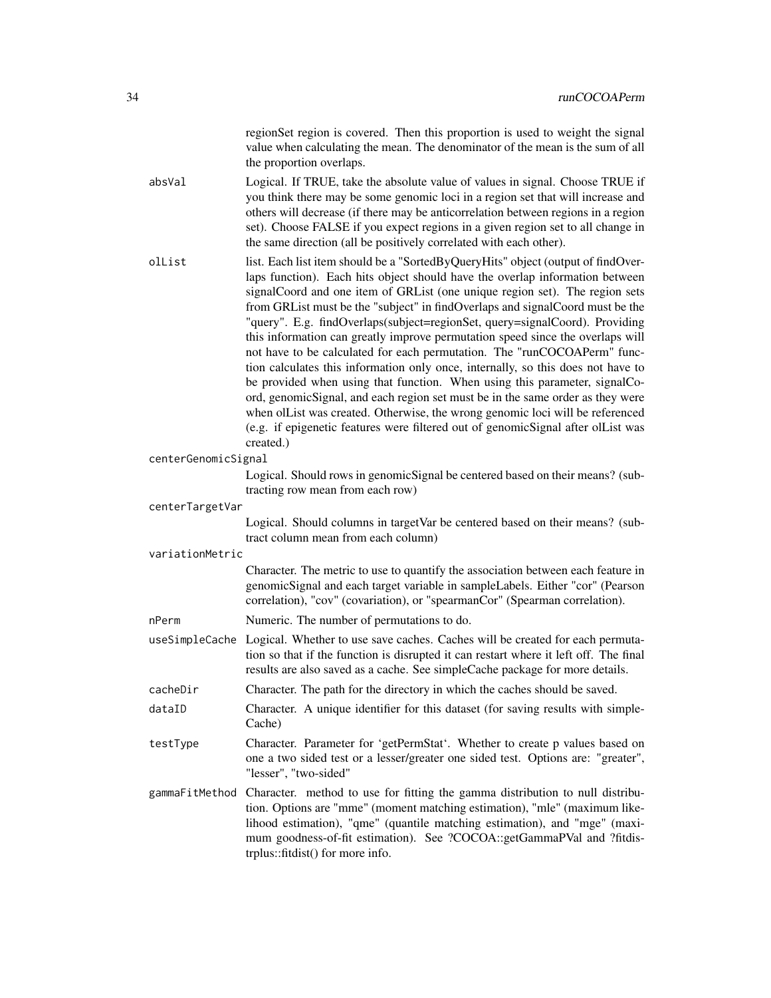| region Set region is covered. Then this proportion is used to weight the signal |  |  |
|---------------------------------------------------------------------------------|--|--|
| value when calculating the mean. The denominator of the mean is the sum of all  |  |  |
| the proportion overlaps.                                                        |  |  |

- absVal Logical. If TRUE, take the absolute value of values in signal. Choose TRUE if you think there may be some genomic loci in a region set that will increase and others will decrease (if there may be anticorrelation between regions in a region set). Choose FALSE if you expect regions in a given region set to all change in the same direction (all be positively correlated with each other).
- olList list. Each list item should be a "SortedByQueryHits" object (output of findOverlaps function). Each hits object should have the overlap information between signalCoord and one item of GRList (one unique region set). The region sets from GRList must be the "subject" in findOverlaps and signalCoord must be the "query". E.g. findOverlaps(subject=regionSet, query=signalCoord). Providing this information can greatly improve permutation speed since the overlaps will not have to be calculated for each permutation. The "runCOCOAPerm" function calculates this information only once, internally, so this does not have to be provided when using that function. When using this parameter, signalCoord, genomicSignal, and each region set must be in the same order as they were when olList was created. Otherwise, the wrong genomic loci will be referenced (e.g. if epigenetic features were filtered out of genomicSignal after olList was created.)
- centerGenomicSignal

Logical. Should rows in genomicSignal be centered based on their means? (subtracting row mean from each row)

centerTargetVar

Logical. Should columns in targetVar be centered based on their means? (subtract column mean from each column)

variationMetric

Character. The metric to use to quantify the association between each feature in genomicSignal and each target variable in sampleLabels. Either "cor" (Pearson correlation), "cov" (covariation), or "spearmanCor" (Spearman correlation).

- nPerm Numeric. The number of permutations to do.
- useSimpleCache Logical. Whether to use save caches. Caches will be created for each permutation so that if the function is disrupted it can restart where it left off. The final results are also saved as a cache. See simpleCache package for more details.
- cacheDir Character. The path for the directory in which the caches should be saved.
- dataID Character. A unique identifier for this dataset (for saving results with simple-Cache)
- testType Character. Parameter for 'getPermStat'. Whether to create p values based on one a two sided test or a lesser/greater one sided test. Options are: "greater", "lesser", "two-sided"
- gammaFitMethod Character. method to use for fitting the gamma distribution to null distribution. Options are "mme" (moment matching estimation), "mle" (maximum likelihood estimation), "qme" (quantile matching estimation), and "mge" (maximum goodness-of-fit estimation). See ?COCOA::getGammaPVal and ?fitdistrplus::fitdist() for more info.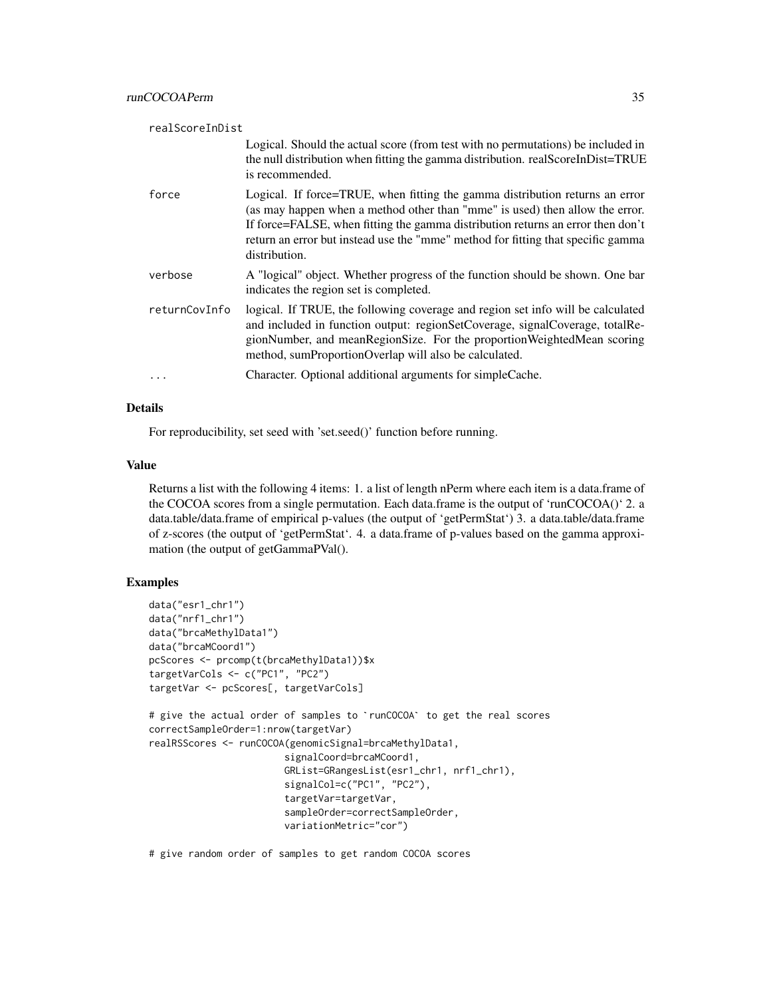| realScoreInDist |                                                                                                                                                                                                                                                                                                                                                      |
|-----------------|------------------------------------------------------------------------------------------------------------------------------------------------------------------------------------------------------------------------------------------------------------------------------------------------------------------------------------------------------|
|                 | Logical. Should the actual score (from test with no permutations) be included in<br>the null distribution when fitting the gamma distribution. realScoreInDist=TRUE<br>is recommended.                                                                                                                                                               |
| force           | Logical. If force=TRUE, when fitting the gamma distribution returns an error<br>(as may happen when a method other than "mme" is used) then allow the error.<br>If force=FALSE, when fitting the gamma distribution returns an error then don't<br>return an error but instead use the "mme" method for fitting that specific gamma<br>distribution. |
| verbose         | A "logical" object. Whether progress of the function should be shown. One bar<br>indicates the region set is completed.                                                                                                                                                                                                                              |
| returnCovInfo   | logical. If TRUE, the following coverage and region set info will be calculated<br>and included in function output: regionSetCoverage, signalCoverage, totalRe-<br>gionNumber, and meanRegionSize. For the proportionWeightedMean scoring<br>method, sumProportionOverlap will also be calculated.                                                   |
| .               | Character. Optional additional arguments for simple Cache.                                                                                                                                                                                                                                                                                           |

#### Details

For reproducibility, set seed with 'set.seed()' function before running.

#### Value

Returns a list with the following 4 items: 1. a list of length nPerm where each item is a data.frame of the COCOA scores from a single permutation. Each data.frame is the output of 'runCOCOA()' 2. a data.table/data.frame of empirical p-values (the output of 'getPermStat') 3. a data.table/data.frame of z-scores (the output of 'getPermStat'. 4. a data.frame of p-values based on the gamma approximation (the output of getGammaPVal().

#### Examples

```
data("esr1_chr1")
data("nrf1_chr1")
data("brcaMethylData1")
data("brcaMCoord1")
pcScores <- prcomp(t(brcaMethylData1))$x
targetVarCols <- c("PC1", "PC2")
targetVar <- pcScores[, targetVarCols]
# give the actual order of samples to `runCOCOA` to get the real scores
correctSampleOrder=1:nrow(targetVar)
realRSScores <- runCOCOA(genomicSignal=brcaMethylData1,
                        signalCoord=brcaMCoord1,
                        GRList=GRangesList(esr1_chr1, nrf1_chr1),
                        signalCol=c("PC1", "PC2"),
                        targetVar=targetVar,
                        sampleOrder=correctSampleOrder,
                        variationMetric="cor")
```
# give random order of samples to get random COCOA scores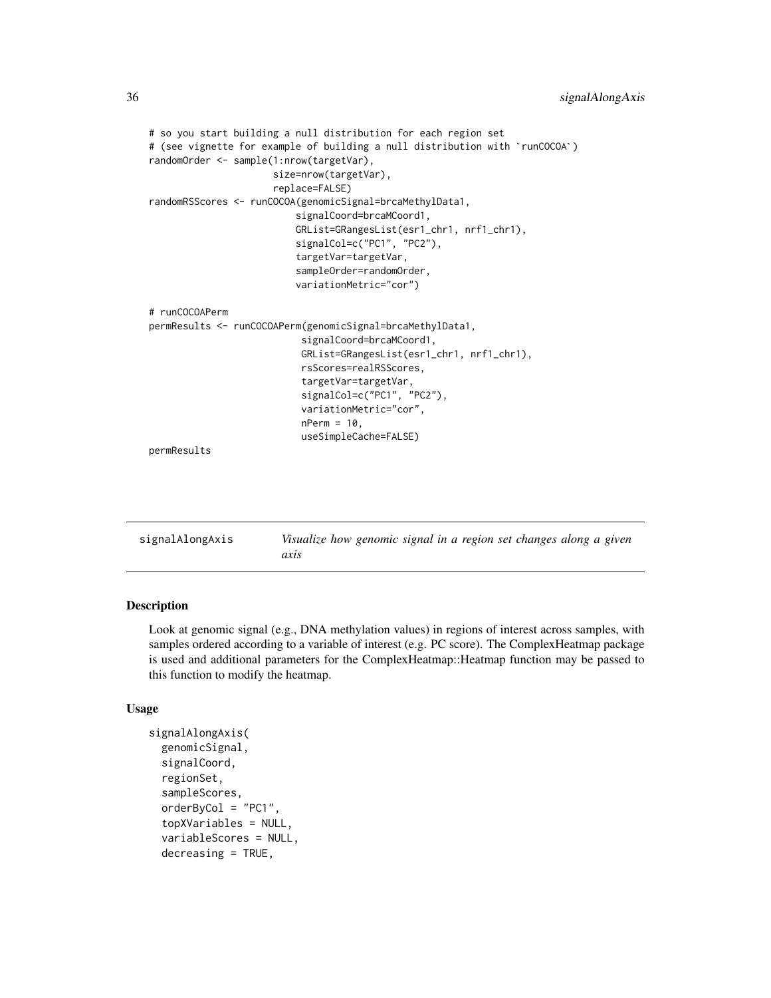```
# so you start building a null distribution for each region set
# (see vignette for example of building a null distribution with `runCOCOA`)
randomOrder <- sample(1:nrow(targetVar),
                      size=nrow(targetVar),
                      replace=FALSE)
randomRSScores <- runCOCOA(genomicSignal=brcaMethylData1,
                          signalCoord=brcaMCoord1,
                          GRList=GRangesList(esr1_chr1, nrf1_chr1),
                          signalCol=c("PC1", "PC2"),
                          targetVar=targetVar,
                          sampleOrder=randomOrder,
                          variationMetric="cor")
# runCOCOAPerm
permResults <- runCOCOAPerm(genomicSignal=brcaMethylData1,
                           signalCoord=brcaMCoord1,
                           GRList=GRangesList(esr1_chr1, nrf1_chr1),
                           rsScores=realRSScores,
                           targetVar=targetVar,
                           signalCol=c("PC1", "PC2"),
                           variationMetric="cor",
                           nPerm = 10,
                           useSimpleCache=FALSE)
permResults
```

| signalAlongAxis | Visualize how genomic signal in a region set changes along a given |  |  |  |  |  |
|-----------------|--------------------------------------------------------------------|--|--|--|--|--|
|                 | axıs                                                               |  |  |  |  |  |

#### Description

Look at genomic signal (e.g., DNA methylation values) in regions of interest across samples, with samples ordered according to a variable of interest (e.g. PC score). The ComplexHeatmap package is used and additional parameters for the ComplexHeatmap::Heatmap function may be passed to this function to modify the heatmap.

#### Usage

```
signalAlongAxis(
  genomicSignal,
  signalCoord,
  regionSet,
  sampleScores,
  orderByCol = "PC1".topXVariables = NULL,
  variableScores = NULL,
  decreasing = TRUE,
```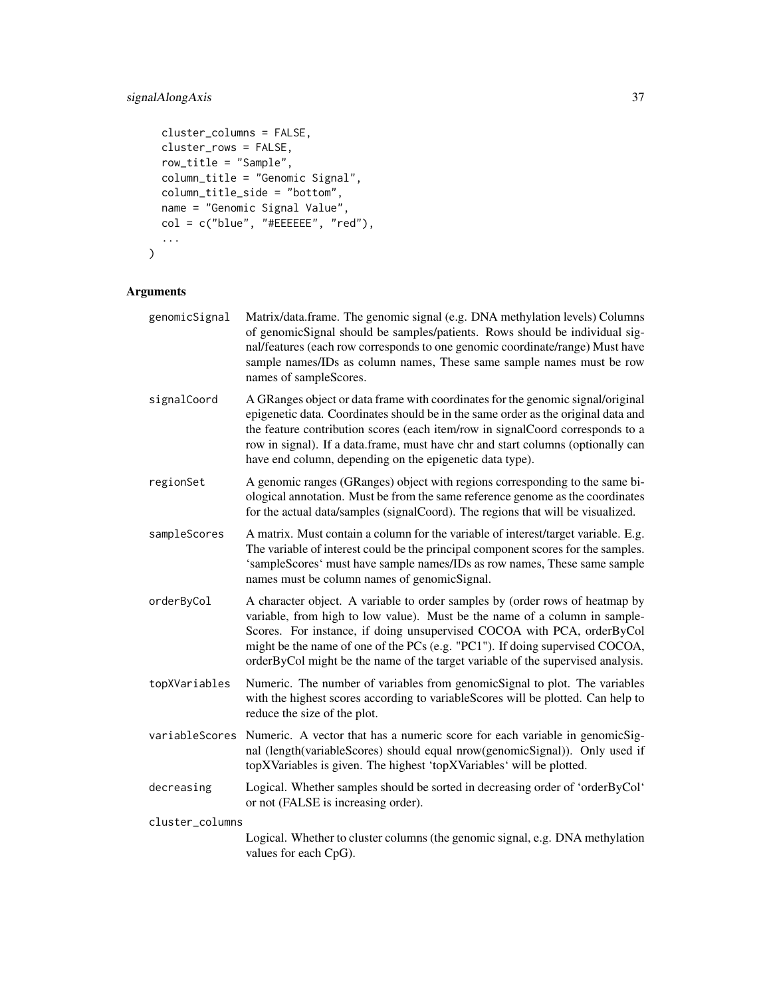#### signalAlongAxis 37

```
cluster_columns = FALSE,
 cluster_rows = FALSE,
 row_title = "Sample",
 column_title = "Genomic Signal",
 column_title_side = "bottom",
 name = "Genomic Signal Value",
 col = c("blue", "#EEEEEE", "red"),
  ...
\mathcal{L}
```

| genomicSignal   | Matrix/data.frame. The genomic signal (e.g. DNA methylation levels) Columns<br>of genomicSignal should be samples/patients. Rows should be individual sig-<br>nal/features (each row corresponds to one genomic coordinate/range) Must have<br>sample names/IDs as column names, These same sample names must be row<br>names of sampleScores.                                                          |
|-----------------|---------------------------------------------------------------------------------------------------------------------------------------------------------------------------------------------------------------------------------------------------------------------------------------------------------------------------------------------------------------------------------------------------------|
| signalCoord     | A GRanges object or data frame with coordinates for the genomic signal/original<br>epigenetic data. Coordinates should be in the same order as the original data and<br>the feature contribution scores (each item/row in signalCoord corresponds to a<br>row in signal). If a data frame, must have chr and start columns (optionally can<br>have end column, depending on the epigenetic data type).  |
| regionSet       | A genomic ranges (GRanges) object with regions corresponding to the same bi-<br>ological annotation. Must be from the same reference genome as the coordinates<br>for the actual data/samples (signalCoord). The regions that will be visualized.                                                                                                                                                       |
| sampleScores    | A matrix. Must contain a column for the variable of interest/target variable. E.g.<br>The variable of interest could be the principal component scores for the samples.<br>'sampleScores' must have sample names/IDs as row names, These same sample<br>names must be column names of genomicSignal.                                                                                                    |
| orderByCol      | A character object. A variable to order samples by (order rows of heatmap by<br>variable, from high to low value). Must be the name of a column in sample-<br>Scores. For instance, if doing unsupervised COCOA with PCA, orderByCol<br>might be the name of one of the PCs (e.g. "PC1"). If doing supervised COCOA,<br>orderByCol might be the name of the target variable of the supervised analysis. |
| topXVariables   | Numeric. The number of variables from genomicSignal to plot. The variables<br>with the highest scores according to variableScores will be plotted. Can help to<br>reduce the size of the plot.                                                                                                                                                                                                          |
| variableScores  | Numeric. A vector that has a numeric score for each variable in genomicSig-<br>nal (length(variableScores) should equal nrow(genomicSignal)). Only used if<br>topXVariables is given. The highest 'topXVariables' will be plotted.                                                                                                                                                                      |
| decreasing      | Logical. Whether samples should be sorted in decreasing order of 'orderByCol'<br>or not (FALSE is increasing order).                                                                                                                                                                                                                                                                                    |
| cluster_columns |                                                                                                                                                                                                                                                                                                                                                                                                         |
|                 | Logical. Whether to cluster columns (the genomic signal, e.g. DNA methylation<br>values for each CpG).                                                                                                                                                                                                                                                                                                  |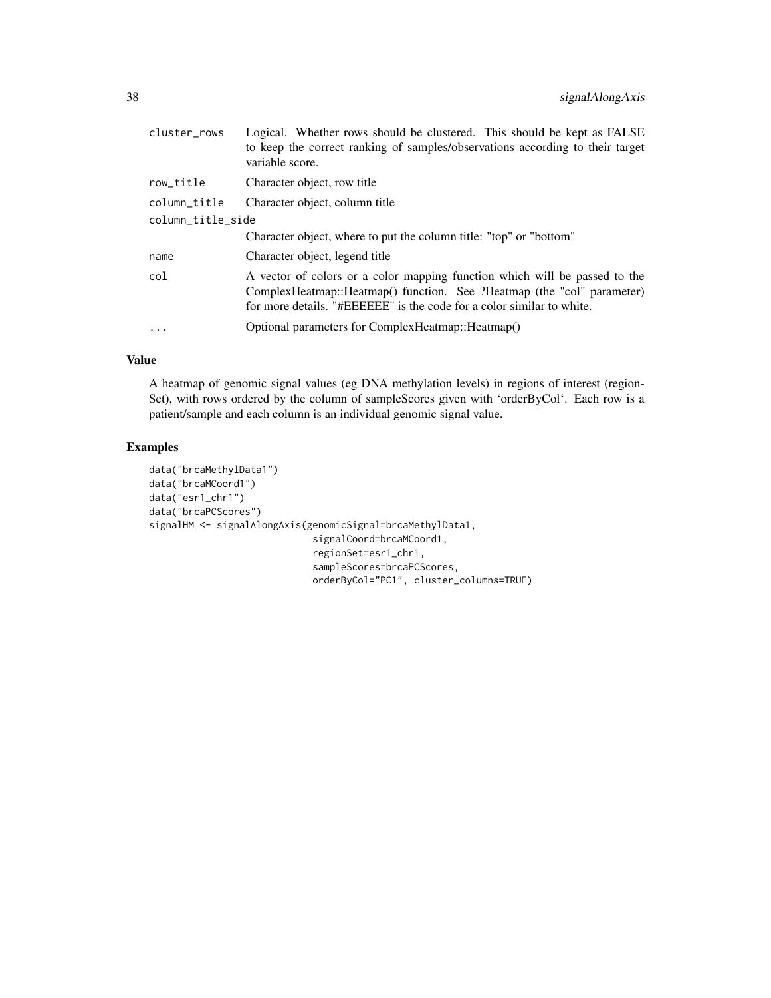| cluster_rows      | Logical. Whether rows should be clustered. This should be kept as FALSE<br>to keep the correct ranking of samples/observations according to their target<br>variable score.                                                   |  |  |  |  |
|-------------------|-------------------------------------------------------------------------------------------------------------------------------------------------------------------------------------------------------------------------------|--|--|--|--|
| row_title         | Character object, row title                                                                                                                                                                                                   |  |  |  |  |
| column_title      | Character object, column title                                                                                                                                                                                                |  |  |  |  |
| column_title_side |                                                                                                                                                                                                                               |  |  |  |  |
|                   | Character object, where to put the column title: "top" or "bottom"                                                                                                                                                            |  |  |  |  |
| name              | Character object, legend title                                                                                                                                                                                                |  |  |  |  |
| col               | A vector of colors or a color mapping function which will be passed to the<br>ComplexHeatmap::Heatmap() function. See ?Heatmap (the "col" parameter)<br>for more details. "#EEEEEE" is the code for a color similar to white. |  |  |  |  |
| $\ddots$ .        | Optional parameters for ComplexHeatmap:: Heatmap()                                                                                                                                                                            |  |  |  |  |

#### Value

A heatmap of genomic signal values (eg DNA methylation levels) in regions of interest (region-Set), with rows ordered by the column of sampleScores given with 'orderByCol'. Each row is a patient/sample and each column is an individual genomic signal value.

#### Examples

```
data("brcaMethylData1")
data("brcaMCoord1")
data("esr1_chr1")
data("brcaPCScores")
signalHM <- signalAlongAxis(genomicSignal=brcaMethylData1,
                             signalCoord=brcaMCoord1,
                             regionSet=esr1_chr1,
                             sampleScores=brcaPCScores,
                             orderByCol="PC1", cluster_columns=TRUE)
```